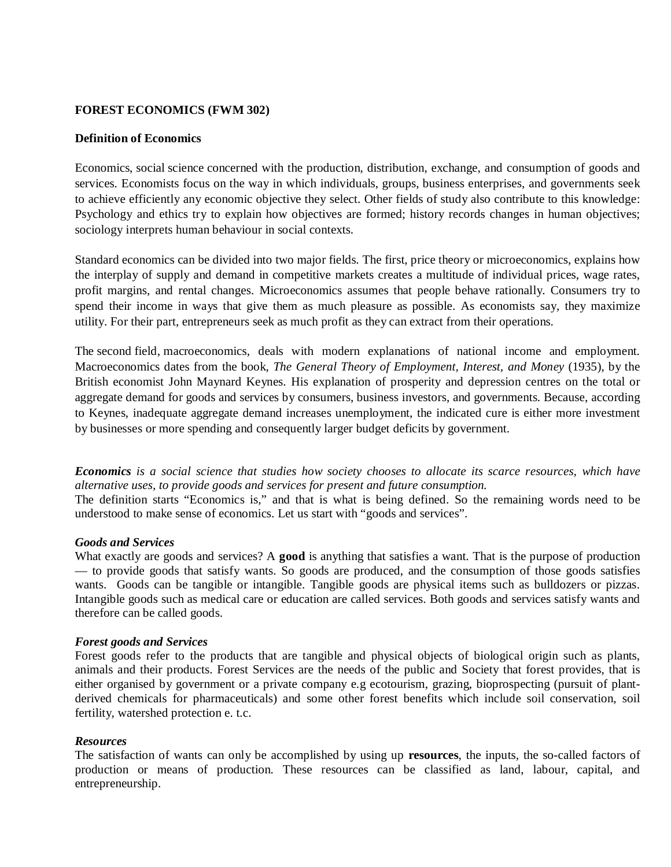## **FOREST ECONOMICS (FWM 302)**

#### **Definition of Economics**

Economics, social science concerned with the production, distribution, exchange, and consumption of goods and services. Economists focus on the way in which individuals, groups, business enterprises, and governments seek to achieve efficiently any economic objective they select. Other fields of study also contribute to this knowledge: Psychology and ethics try to explain how objectives are formed; history records changes in human objectives; sociology interprets human behaviour in social contexts.

Standard economics can be divided into two major fields. The first, price theory or microeconomics, explains how the interplay of supply and demand in competitive markets creates a multitude of individual prices, wage rates, profit margins, and rental changes. Microeconomics assumes that people behave rationally. Consumers try to spend their income in ways that give them as much pleasure as possible. As economists say, they maximize utility. For their part, entrepreneurs seek as much profit as they can extract from their operations.

The second field, macroeconomics, deals with modern explanations of national income and employment. Macroeconomics dates from the book, *The General Theory of Employment, Interest, and Money* (1935), by the British economist John Maynard Keynes. His explanation of prosperity and depression centres on the total or aggregate demand for goods and services by consumers, business investors, and governments. Because, according to Keynes, inadequate aggregate demand increases unemployment, the indicated cure is either more investment by businesses or more spending and consequently larger budget deficits by government.

*Economics is a social science that studies how society chooses to allocate its scarce resources, which have alternative uses, to provide goods and services for present and future consumption.*

The definition starts "Economics is," and that is what is being defined. So the remaining words need to be understood to make sense of economics. Let us start with "goods and services".

#### *Goods and Services*

What exactly are goods and services? A **good** is anything that satisfies a want. That is the purpose of production — to provide goods that satisfy wants. So goods are produced, and the consumption of those goods satisfies wants. Goods can be tangible or intangible. Tangible goods are physical items such as bulldozers or pizzas. Intangible goods such as medical care or education are called services. Both goods and services satisfy wants and therefore can be called goods.

#### *Forest goods and Services*

Forest goods refer to the products that are tangible and physical objects of biological origin such as plants, animals and their products. Forest Services are the needs of the public and Society that forest provides, that is either organised by government or a private company e.g ecotourism, grazing, bioprospecting (pursuit of plantderived chemicals for pharmaceuticals) and some other forest benefits which include soil conservation, soil fertility, watershed protection e. t.c.

#### *Resources*

The satisfaction of wants can only be accomplished by using up **resources**, the inputs, the so-called factors of production or means of production. These resources can be classified as land, labour, capital, and entrepreneurship.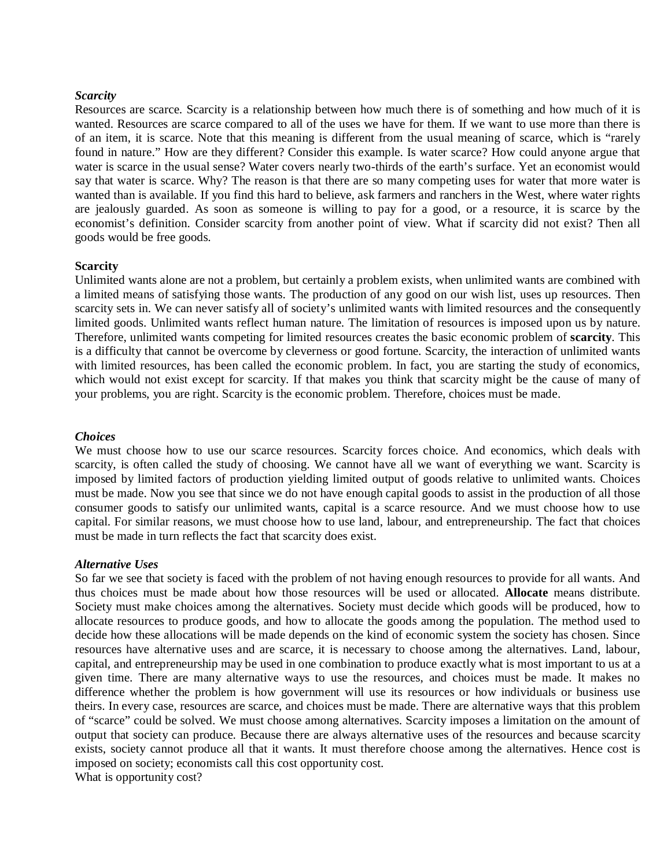## *Scarcity*

Resources are scarce. Scarcity is a relationship between how much there is of something and how much of it is wanted. Resources are scarce compared to all of the uses we have for them. If we want to use more than there is of an item, it is scarce. Note that this meaning is different from the usual meaning of scarce, which is "rarely found in nature." How are they different? Consider this example. Is water scarce? How could anyone argue that water is scarce in the usual sense? Water covers nearly two-thirds of the earth's surface. Yet an economist would say that water is scarce. Why? The reason is that there are so many competing uses for water that more water is wanted than is available. If you find this hard to believe, ask farmers and ranchers in the West, where water rights are jealously guarded. As soon as someone is willing to pay for a good, or a resource, it is scarce by the economist's definition. Consider scarcity from another point of view. What if scarcity did not exist? Then all goods would be free goods.

## **Scarcity**

Unlimited wants alone are not a problem, but certainly a problem exists, when unlimited wants are combined with a limited means of satisfying those wants. The production of any good on our wish list, uses up resources. Then scarcity sets in. We can never satisfy all of society's unlimited wants with limited resources and the consequently limited goods. Unlimited wants reflect human nature. The limitation of resources is imposed upon us by nature. Therefore, unlimited wants competing for limited resources creates the basic economic problem of **scarcity**. This is a difficulty that cannot be overcome by cleverness or good fortune. Scarcity, the interaction of unlimited wants with limited resources, has been called the economic problem. In fact, you are starting the study of economics, which would not exist except for scarcity. If that makes you think that scarcity might be the cause of many of your problems, you are right. Scarcity is the economic problem. Therefore, choices must be made.

## *Choices*

We must choose how to use our scarce resources. Scarcity forces choice. And economics, which deals with scarcity, is often called the study of choosing. We cannot have all we want of everything we want. Scarcity is imposed by limited factors of production yielding limited output of goods relative to unlimited wants. Choices must be made. Now you see that since we do not have enough capital goods to assist in the production of all those consumer goods to satisfy our unlimited wants, capital is a scarce resource. And we must choose how to use capital. For similar reasons, we must choose how to use land, labour, and entrepreneurship. The fact that choices must be made in turn reflects the fact that scarcity does exist.

## *Alternative Uses*

So far we see that society is faced with the problem of not having enough resources to provide for all wants. And thus choices must be made about how those resources will be used or allocated. **Allocate** means distribute. Society must make choices among the alternatives. Society must decide which goods will be produced, how to allocate resources to produce goods, and how to allocate the goods among the population. The method used to decide how these allocations will be made depends on the kind of economic system the society has chosen. Since resources have alternative uses and are scarce, it is necessary to choose among the alternatives. Land, labour, capital, and entrepreneurship may be used in one combination to produce exactly what is most important to us at a given time. There are many alternative ways to use the resources, and choices must be made. It makes no difference whether the problem is how government will use its resources or how individuals or business use theirs. In every case, resources are scarce, and choices must be made. There are alternative ways that this problem of "scarce" could be solved. We must choose among alternatives. Scarcity imposes a limitation on the amount of output that society can produce. Because there are always alternative uses of the resources and because scarcity exists, society cannot produce all that it wants. It must therefore choose among the alternatives. Hence cost is imposed on society; economists call this cost opportunity cost. What is opportunity cost?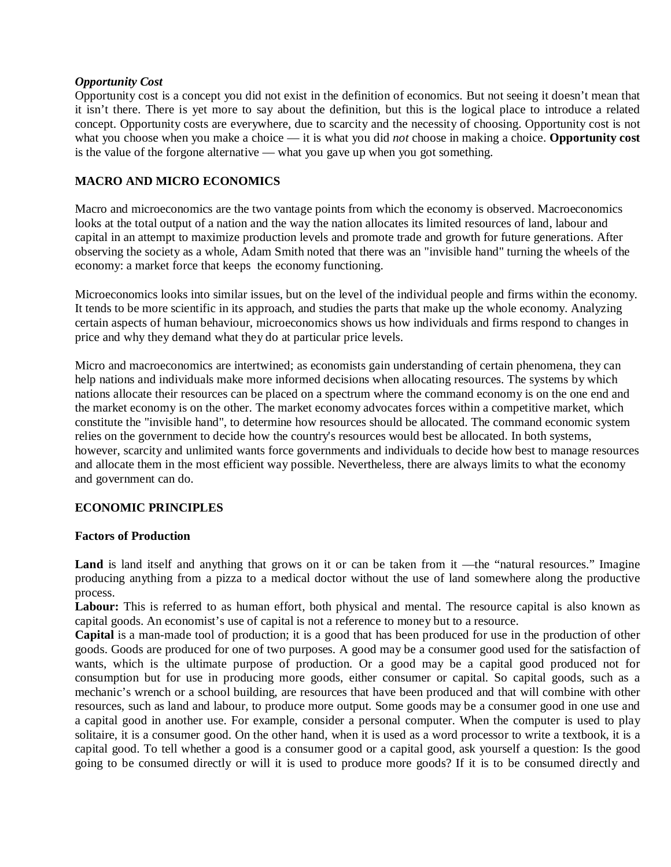## *Opportunity Cost*

Opportunity cost is a concept you did not exist in the definition of economics. But not seeing it doesn't mean that it isn't there. There is yet more to say about the definition, but this is the logical place to introduce a related concept. Opportunity costs are everywhere, due to scarcity and the necessity of choosing. Opportunity cost is not what you choose when you make a choice — it is what you did *not* choose in making a choice. **Opportunity cost**  is the value of the forgone alternative — what you gave up when you got something.

# **MACRO AND MICRO ECONOMICS**

Macro and microeconomics are the two vantage points from which the economy is observed. Macroeconomics looks at the total output of a nation and the way the nation allocates its limited resources of land, labour and capital in an attempt to maximize production levels and promote trade and growth for future generations. After observing the society as a whole, Adam Smith noted that there was an "invisible hand" turning the wheels of the economy: a market force that keeps the economy functioning.

Microeconomics looks into similar issues, but on the level of the individual people and firms within the economy. It tends to be more scientific in its approach, and studies the parts that make up the whole economy. Analyzing certain aspects of human behaviour, microeconomics shows us how individuals and firms respond to changes in price and why they demand what they do at particular price levels.

Micro and macroeconomics are intertwined; as economists gain understanding of certain phenomena, they can help nations and individuals make more informed decisions when allocating resources. The systems by which nations allocate their resources can be placed on a spectrum where the command economy is on the one end and the market economy is on the other. The market economy advocates forces within a competitive market, which constitute the "invisible hand", to determine how resources should be allocated. The command economic system relies on the government to decide how the country's resources would best be allocated. In both systems, however, scarcity and unlimited wants force governments and individuals to decide how best to manage resources and allocate them in the most efficient way possible. Nevertheless, there are always limits to what the economy and government can do.

# **ECONOMIC PRINCIPLES**

# **Factors of Production**

Land is land itself and anything that grows on it or can be taken from it —the "natural resources." Imagine producing anything from a pizza to a medical doctor without the use of land somewhere along the productive process.

**Labour:** This is referred to as human effort, both physical and mental. The resource capital is also known as capital goods. An economist's use of capital is not a reference to money but to a resource.

**Capital** is a man-made tool of production; it is a good that has been produced for use in the production of other goods. Goods are produced for one of two purposes. A good may be a consumer good used for the satisfaction of wants, which is the ultimate purpose of production. Or a good may be a capital good produced not for consumption but for use in producing more goods, either consumer or capital. So capital goods, such as a mechanic's wrench or a school building, are resources that have been produced and that will combine with other resources, such as land and labour, to produce more output. Some goods may be a consumer good in one use and a capital good in another use. For example, consider a personal computer. When the computer is used to play solitaire, it is a consumer good. On the other hand, when it is used as a word processor to write a textbook, it is a capital good. To tell whether a good is a consumer good or a capital good, ask yourself a question: Is the good going to be consumed directly or will it is used to produce more goods? If it is to be consumed directly and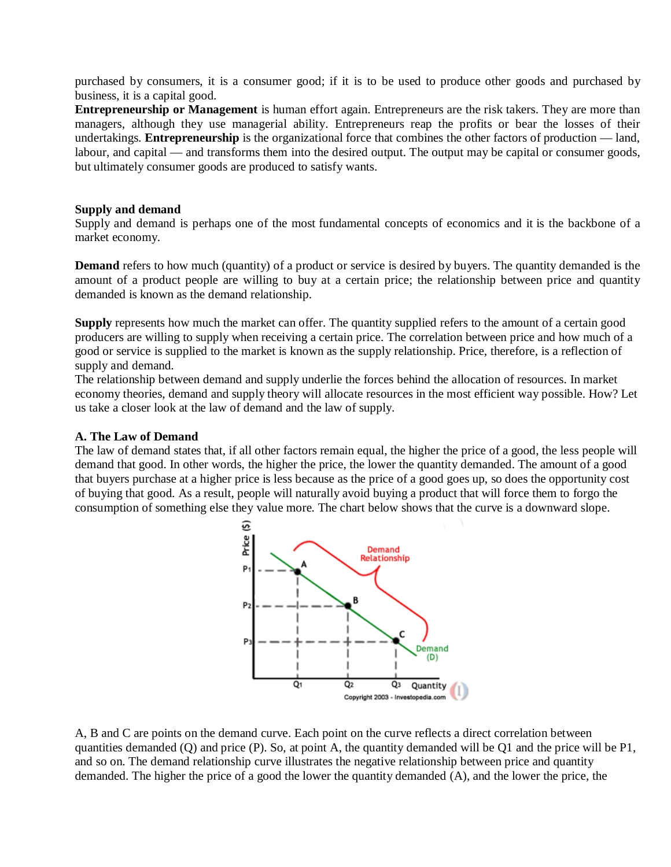purchased by consumers, it is a consumer good; if it is to be used to produce other goods and purchased by business, it is a capital good.

**Entrepreneurship or Management** is human effort again. Entrepreneurs are the risk takers. They are more than managers, although they use managerial ability. Entrepreneurs reap the profits or bear the losses of their undertakings. **Entrepreneurship** is the organizational force that combines the other factors of production — land, labour, and capital — and transforms them into the desired output. The output may be capital or consumer goods, but ultimately consumer goods are produced to satisfy wants.

#### **Supply and demand**

Supply and demand is perhaps one of the most fundamental concepts of economics and it is the backbone of a market economy.

**Demand** refers to how much (quantity) of a product or service is desired by buyers. The quantity demanded is the amount of a product people are willing to buy at a certain price; the relationship between price and quantity demanded is known as the demand relationship.

**Supply** represents how much the market can offer. The quantity supplied refers to the amount of a certain good producers are willing to supply when receiving a certain price. The correlation between price and how much of a good or service is supplied to the market is known as the supply relationship. Price, therefore, is a reflection of supply and demand.

The relationship between demand and supply underlie the forces behind the allocation of resources. In market economy theories, demand and supply theory will allocate resources in the most efficient way possible. How? Let us take a closer look at the law of demand and the law of supply.

### **A. The Law of Demand**

The law of demand states that, if all other factors remain equal, the higher the price of a good, the less people will demand that good. In other words, the higher the price, the lower the quantity demanded. The amount of a good that buyers purchase at a higher price is less because as the price of a good goes up, so does the opportunity cost of buying that good. As a result, people will naturally avoid buying a product that will force them to forgo the consumption of something else they value more. The chart below shows that the curve is a downward slope.



A, B and C are points on the demand curve. Each point on the curve reflects a direct correlation between quantities demanded (Q) and price (P). So, at point A, the quantity demanded will be Q1 and the price will be P1, and so on. The demand relationship curve illustrates the negative relationship between price and quantity demanded. The higher the price of a good the lower the quantity demanded (A), and the lower the price, the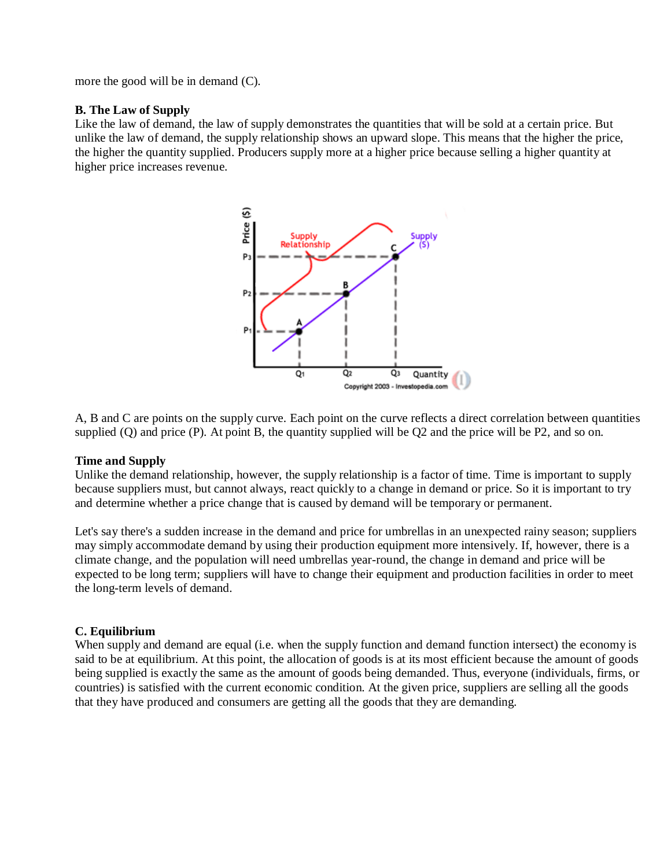more the good will be in demand (C).

## **B. The Law of Supply**

Like the law of demand, the law of supply demonstrates the quantities that will be sold at a certain price. But unlike the law of demand, the supply relationship shows an upward slope. This means that the higher the price, the higher the quantity supplied. Producers supply more at a higher price because selling a higher quantity at higher price increases revenue.



A, B and C are points on the supply curve. Each point on the curve reflects a direct correlation between quantities supplied (Q) and price (P). At point B, the quantity supplied will be Q2 and the price will be P2, and so on.

## **Time and Supply**

Unlike the demand relationship, however, the supply relationship is a factor of time. Time is important to supply because suppliers must, but cannot always, react quickly to a change in demand or price. So it is important to try and determine whether a price change that is caused by demand will be temporary or permanent.

Let's say there's a sudden increase in the demand and price for umbrellas in an unexpected rainy season; suppliers may simply accommodate demand by using their production equipment more intensively. If, however, there is a climate change, and the population will need umbrellas year-round, the change in demand and price will be expected to be long term; suppliers will have to change their equipment and production facilities in order to meet the long-term levels of demand.

## **C. Equilibrium**

When supply and demand are equal (i.e. when the supply function and demand function intersect) the economy is said to be at equilibrium. At this point, the allocation of goods is at its most efficient because the amount of goods being supplied is exactly the same as the amount of goods being demanded. Thus, everyone (individuals, firms, or countries) is satisfied with the current economic condition. At the given price, suppliers are selling all the goods that they have produced and consumers are getting all the goods that they are demanding.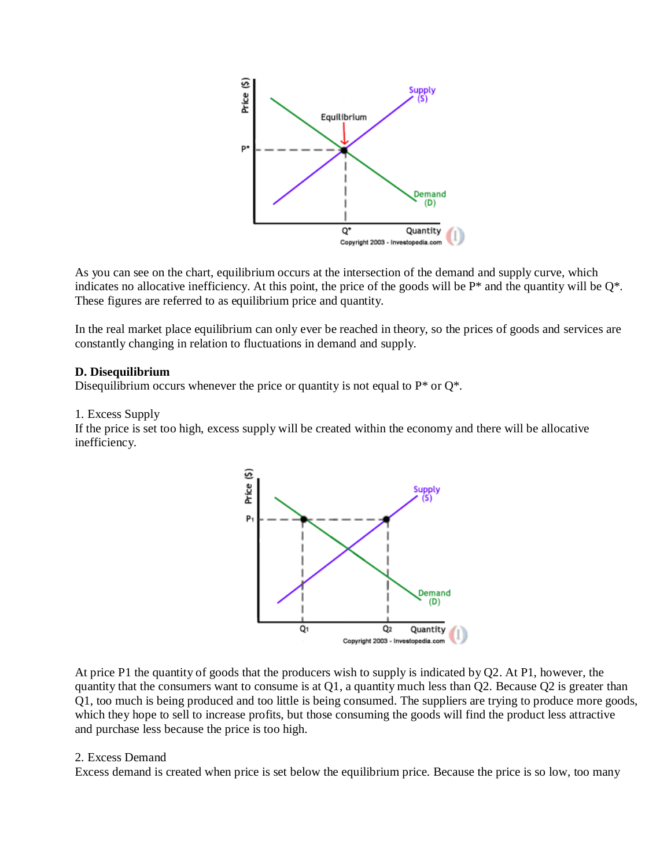

As you can see on the chart, equilibrium occurs at the intersection of the demand and supply curve, which indicates no allocative inefficiency. At this point, the price of the goods will be P\* and the quantity will be Q\*. These figures are referred to as equilibrium price and quantity.

In the real market place equilibrium can only ever be reached in theory, so the prices of goods and services are constantly changing in relation to fluctuations in demand and supply.

#### **D. Disequilibrium**

Disequilibrium occurs whenever the price or quantity is not equal to  $P^*$  or  $Q^*$ .

#### 1. Excess Supply

If the price is set too high, excess supply will be created within the economy and there will be allocative inefficiency.



At price P1 the quantity of goods that the producers wish to supply is indicated by Q2. At P1, however, the quantity that the consumers want to consume is at Q1, a quantity much less than Q2. Because Q2 is greater than Q1, too much is being produced and too little is being consumed. The suppliers are trying to produce more goods, which they hope to sell to increase profits, but those consuming the goods will find the product less attractive and purchase less because the price is too high.

## 2. Excess Demand

Excess demand is created when price is set below the equilibrium price. Because the price is so low, too many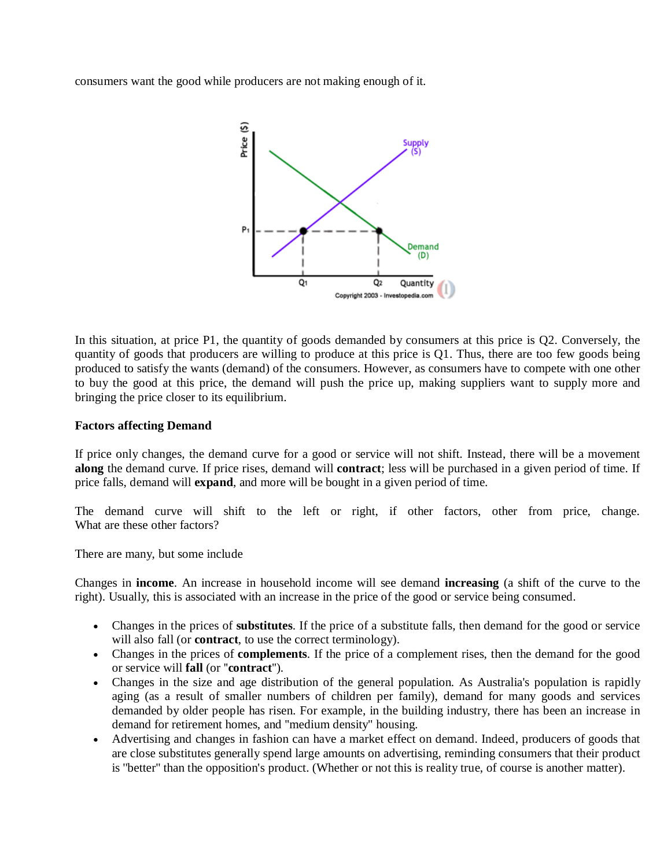consumers want the good while producers are not making enough of it.



In this situation, at price P1, the quantity of goods demanded by consumers at this price is Q2. Conversely, the quantity of goods that producers are willing to produce at this price is Q1. Thus, there are too few goods being produced to satisfy the wants (demand) of the consumers. However, as consumers have to compete with one other to buy the good at this price, the demand will push the price up, making suppliers want to supply more and bringing the price closer to its equilibrium.

## **Factors affecting Demand**

If price only changes, the demand curve for a good or service will not shift. Instead, there will be a movement **along** the demand curve. If price rises, demand will **contract**; less will be purchased in a given period of time. If price falls, demand will **expand**, and more will be bought in a given period of time.

The demand curve will shift to the left or right, if other factors, other from price, change. What are these other factors?

There are many, but some include

Changes in **income**. An increase in household income will see demand **increasing** (a shift of the curve to the right). Usually, this is associated with an increase in the price of the good or service being consumed.

- Changes in the prices of **substitutes**. If the price of a substitute falls, then demand for the good or service will also fall (or **contract**, to use the correct terminology).
- Changes in the prices of **complements**. If the price of a complement rises, then the demand for the good or service will **fall** (or ''**contract**'').
- Changes in the size and age distribution of the general population. As Australia's population is rapidly aging (as a result of smaller numbers of children per family), demand for many goods and services demanded by older people has risen. For example, in the building industry, there has been an increase in demand for retirement homes, and ''medium density'' housing.
- Advertising and changes in fashion can have a market effect on demand. Indeed, producers of goods that are close substitutes generally spend large amounts on advertising, reminding consumers that their product is ''better'' than the opposition's product. (Whether or not this is reality true, of course is another matter).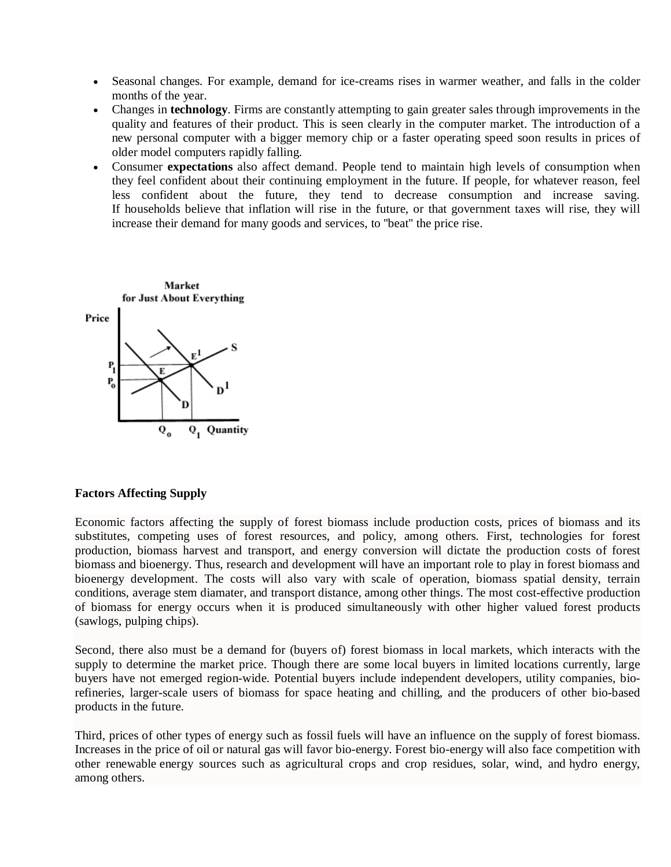- Seasonal changes. For example, demand for ice-creams rises in warmer weather, and falls in the colder months of the year.
- Changes in **technology**. Firms are constantly attempting to gain greater sales through improvements in the quality and features of their product. This is seen clearly in the computer market. The introduction of a new personal computer with a bigger memory chip or a faster operating speed soon results in prices of older model computers rapidly falling.
- Consumer **expectations** also affect demand. People tend to maintain high levels of consumption when they feel confident about their continuing employment in the future. If people, for whatever reason, feel less confident about the future, they tend to decrease consumption and increase saving. If households believe that inflation will rise in the future, or that government taxes will rise, they will increase their demand for many goods and services, to ''beat'' the price rise.



## **Factors Affecting Supply**

Economic factors affecting the supply of forest biomass include production costs, prices of biomass and its substitutes, competing uses of forest resources, and policy, among others. First, technologies for forest production, biomass harvest and transport, and energy conversion will dictate the production costs of forest biomass and bioenergy. Thus, research and development will have an important role to play in forest biomass and bioenergy development. The costs will also vary with scale of operation, biomass spatial density, terrain conditions, average stem diamater, and transport distance, among other things. The most cost-effective production of biomass for energy occurs when it is produced simultaneously with other higher valued forest products (sawlogs, pulping chips).

Second, there also must be a demand for (buyers of) forest biomass in local markets, which interacts with the supply to determine the market price. Though there are some local buyers in limited locations currently, large buyers have not emerged region-wide. Potential buyers include independent developers, utility companies, biorefineries, larger-scale users of biomass for space heating and chilling, and the producers of other bio-based products in the future.

Third, prices of other types of energy such as fossil fuels will have an influence on the supply of forest biomass. Increases in the price of oil or natural gas will favor bio-energy. Forest bio-energy will also face competition with other renewable energy sources such as agricultural crops and crop residues, solar, wind, and hydro energy, among others.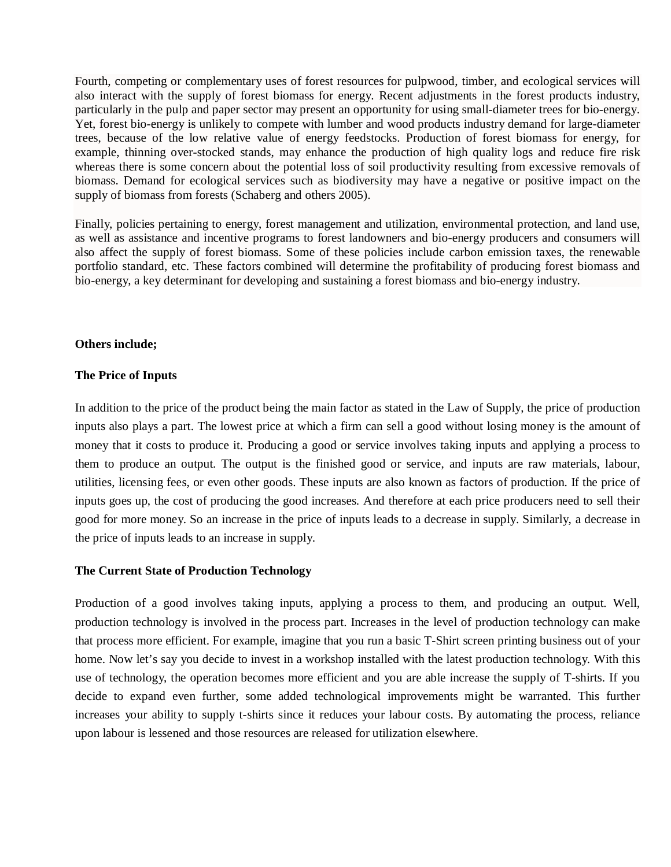Fourth, competing or complementary uses of forest resources for pulpwood, timber, and ecological services will also interact with the supply of forest biomass for energy. Recent adjustments in the forest products industry, particularly in the pulp and paper sector may present an opportunity for using small-diameter trees for bio-energy. Yet, forest bio-energy is unlikely to compete with lumber and wood products industry demand for large-diameter trees, because of the low relative value of energy feedstocks. Production of forest biomass for energy, for example, thinning over-stocked stands, may enhance the production of high quality logs and reduce fire risk whereas there is some concern about the potential loss of soil productivity resulting from excessive removals of biomass. Demand for ecological services such as biodiversity may have a negative or positive impact on the supply of biomass from forests (Schaberg and others 2005).

Finally, policies pertaining to energy, forest management and utilization, environmental protection, and land use, as well as assistance and incentive programs to forest landowners and bio-energy producers and consumers will also affect the supply of forest biomass. Some of these policies include carbon emission taxes, the renewable portfolio standard, etc. These factors combined will determine the profitability of producing forest biomass and bio-energy, a key determinant for developing and sustaining a forest biomass and bio-energy industry.

## **Others include;**

#### **The Price of Inputs**

In addition to the price of the product being the main factor as stated in the Law of Supply, the price of production inputs also plays a part. The lowest price at which a firm can sell a good without losing money is the amount of money that it costs to produce it. Producing a good or service involves taking inputs and applying a process to them to produce an output. The output is the finished good or service, and inputs are raw materials, labour, utilities, licensing fees, or even other goods. These inputs are also known as factors of production. If the price of inputs goes up, the cost of producing the good increases. And therefore at each price producers need to sell their good for more money. So an increase in the price of inputs leads to a decrease in supply. Similarly, a decrease in the price of inputs leads to an increase in supply.

#### **The Current State of Production Technology**

Production of a good involves taking inputs, applying a process to them, and producing an output. Well, production technology is involved in the process part. Increases in the level of production technology can make that process more efficient. For example, imagine that you run a basic T-Shirt screen printing business out of your home. Now let's say you decide to invest in a workshop installed with the latest production technology. With this use of technology, the operation becomes more efficient and you are able increase the supply of T-shirts. If you decide to expand even further, some added technological improvements might be warranted. This further increases your ability to supply t-shirts since it reduces your labour costs. By automating the process, reliance upon labour is lessened and those resources are released for utilization elsewhere.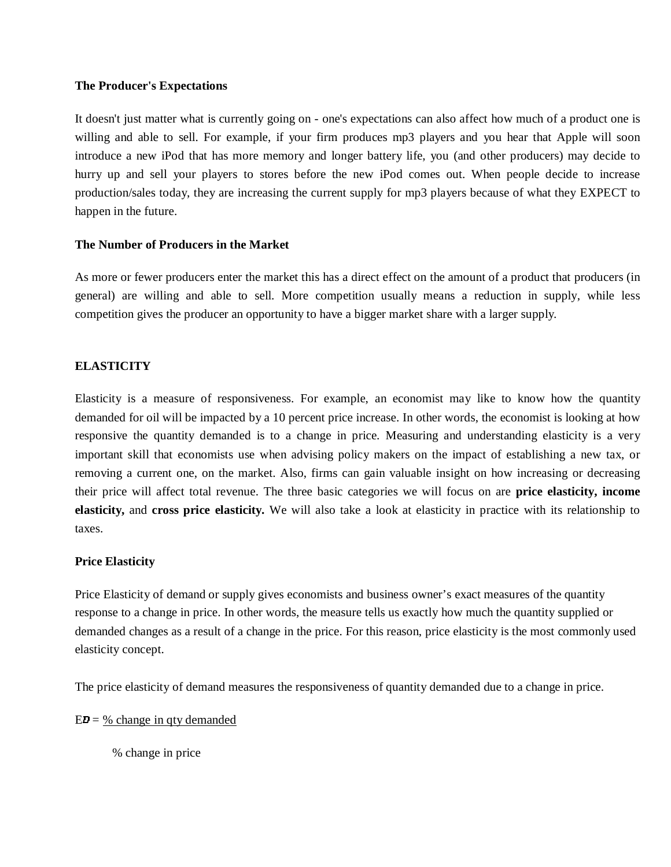#### **The Producer's Expectations**

It doesn't just matter what is currently going on - one's expectations can also affect how much of a product one is willing and able to sell. For example, if your firm produces mp3 players and you hear that Apple will soon introduce a new iPod that has more memory and longer battery life, you (and other producers) may decide to hurry up and sell your players to stores before the new iPod comes out. When people decide to increase production/sales today, they are increasing the current supply for mp3 players because of what they EXPECT to happen in the future.

## **The Number of Producers in the Market**

As more or fewer producers enter the market this has a direct effect on the amount of a product that producers (in general) are willing and able to sell. More competition usually means a reduction in supply, while less competition gives the producer an opportunity to have a bigger market share with a larger supply.

# **ELASTICITY**

Elasticity is a measure of responsiveness. For example, an economist may like to know how the quantity demanded for oil will be impacted by a 10 percent price increase. In other words, the economist is looking at how responsive the quantity demanded is to a change in price. Measuring and understanding elasticity is a very important skill that economists use when advising policy makers on the impact of establishing a new tax, or removing a current one, on the market. Also, firms can gain valuable insight on how increasing or decreasing their price will affect total revenue. The three basic categories we will focus on are **price elasticity, income elasticity,** and **cross price elasticity.** We will also take a look at elasticity in practice with its relationship to taxes.

## **Price Elasticity**

Price Elasticity of demand or supply gives economists and business owner's exact measures of the quantity response to a change in price. In other words, the measure tells us exactly how much the quantity supplied or demanded changes as a result of a change in the price. For this reason, price elasticity is the most commonly used elasticity concept.

The price elasticity of demand measures the responsiveness of quantity demanded due to a change in price.

 $ED = % change in qty demanded$ 

% change in price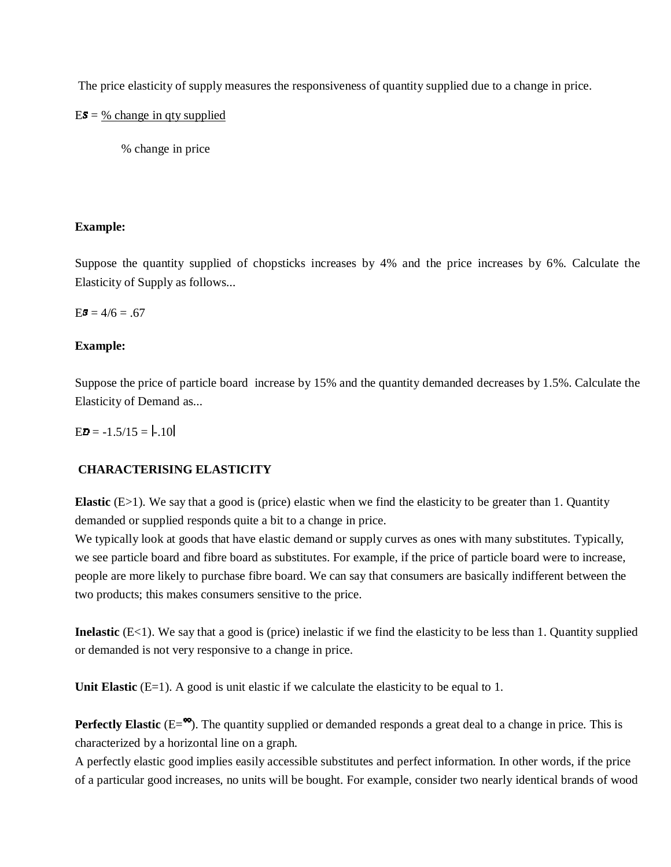The price elasticity of supply measures the responsiveness of quantity supplied due to a change in price.

 $ES = %$  change in qty supplied

% change in price

## **Example:**

Suppose the quantity supplied of chopsticks increases by 4% and the price increases by 6%. Calculate the Elasticity of Supply as follows...

 $E = 4/6 = .67$ 

## **Example:**

Suppose the price of particle board increase by 15% and the quantity demanded decreases by 1.5%. Calculate the Elasticity of Demand as...

 $E = -1.5/15 = 10$ 

## **CHARACTERISING ELASTICITY**

**Elastic** (E>1). We say that a good is (price) elastic when we find the elasticity to be greater than 1. Quantity demanded or supplied responds quite a bit to a change in price.

We typically look at goods that have elastic demand or supply curves as ones with many substitutes. Typically, we see particle board and fibre board as substitutes. For example, if the price of particle board were to increase, people are more likely to purchase fibre board. We can say that consumers are basically indifferent between the two products; this makes consumers sensitive to the price.

**Inelastic** (E<1). We say that a good is (price) inelastic if we find the elasticity to be less than 1. Quantity supplied or demanded is not very responsive to a change in price.

**Unit Elastic** (E=1). A good is unit elastic if we calculate the elasticity to be equal to 1.

**Perfectly Elastic** (E=<sup> $\infty$ </sup>). The quantity supplied or demanded responds a great deal to a change in price. This is characterized by a horizontal line on a graph.

A perfectly elastic good implies easily accessible substitutes and perfect information. In other words, if the price of a particular good increases, no units will be bought. For example, consider two nearly identical brands of wood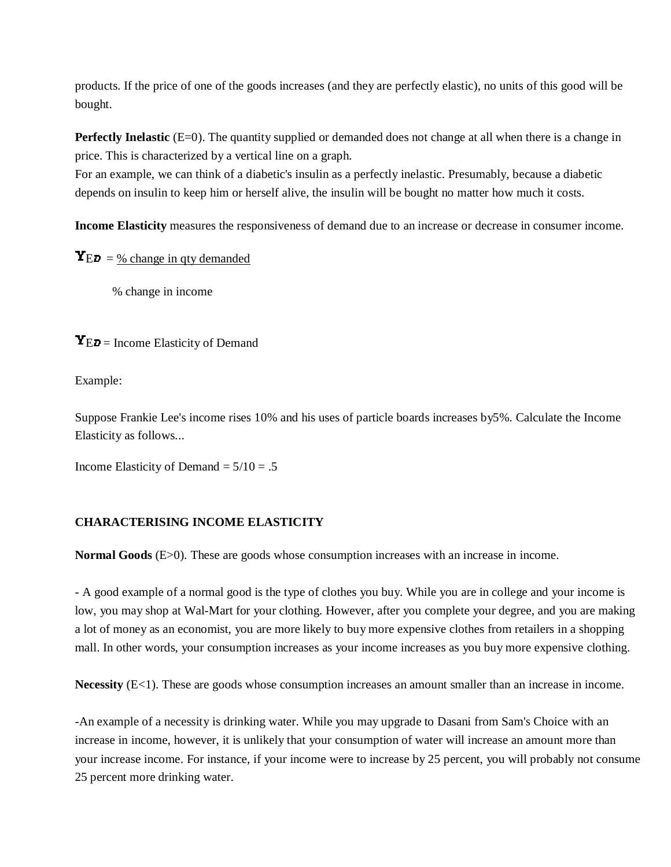products. If the price of one of the goods increases (and they are perfectly elastic), no units of this good will be bought.

**Perfectly Inelastic** (E=0). The quantity supplied or demanded does not change at all when there is a change in price. This is characterized by a vertical line on a graph.

For an example, we can think of a diabetic's insulin as a perfectly inelastic. Presumably, because a diabetic depends on insulin to keep him or herself alive, the insulin will be bought no matter how much it costs.

**Income Elasticity** measures the responsiveness of demand due to an increase or decrease in consumer income.

 $Y_{E,D} = %$  change in qty demanded

% change in income

 $Y_{E,D}$  = Income Elasticity of Demand

Example:

Suppose Frankie Lee's income rises 10% and his uses of particle boards increases by5%. Calculate the Income Elasticity as follows...

Income Elasticity of Demand  $= 5/10 = .5$ 

# **CHARACTERISING INCOME ELASTICITY**

**Normal Goods** (E $>0$ ). These are goods whose consumption increases with an increase in income.

- A good example of a normal good is the type of clothes you buy. While you are in college and your income is low, you may shop at Wal-Mart for your clothing. However, after you complete your degree, and you are making a lot of money as an economist, you are more likely to buy more expensive clothes from retailers in a shopping mall. In other words, your consumption increases as your income increases as you buy more expensive clothing.

**Necessity** (E<1). These are goods whose consumption increases an amount smaller than an increase in income.

-An example of a necessity is drinking water. While you may upgrade to Dasani from Sam's Choice with an increase in income, however, it is unlikely that your consumption of water will increase an amount more than your increase income. For instance, if your income were to increase by 25 percent, you will probably not consume 25 percent more drinking water.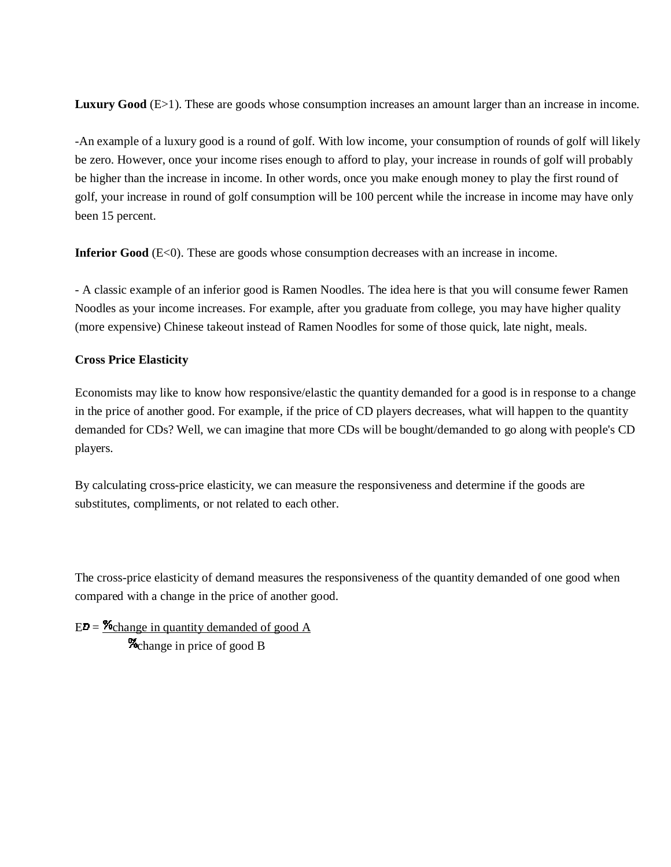**Luxury Good** (E>1). These are goods whose consumption increases an amount larger than an increase in income.

-An example of a luxury good is a round of golf. With low income, your consumption of rounds of golf will likely be zero. However, once your income rises enough to afford to play, your increase in rounds of golf will probably be higher than the increase in income. In other words, once you make enough money to play the first round of golf, your increase in round of golf consumption will be 100 percent while the increase in income may have only been 15 percent.

**Inferior Good** (E<0). These are goods whose consumption decreases with an increase in income.

- A classic example of an inferior good is Ramen Noodles. The idea here is that you will consume fewer Ramen Noodles as your income increases. For example, after you graduate from college, you may have higher quality (more expensive) Chinese takeout instead of Ramen Noodles for some of those quick, late night, meals.

#### **Cross Price Elasticity**

Economists may like to know how responsive/elastic the quantity demanded for a good is in response to a change in the price of another good. For example, if the price of CD players decreases, what will happen to the quantity demanded for CDs? Well, we can imagine that more CDs will be bought/demanded to go along with people's CD players.

By calculating cross-price elasticity, we can measure the responsiveness and determine if the goods are substitutes, compliments, or not related to each other.

The cross-price elasticity of demand measures the responsiveness of the quantity demanded of one good when compared with a change in the price of another good.

 $ED =$ <sup>2</sup> change in quantity demanded of good A **M**change in price of good B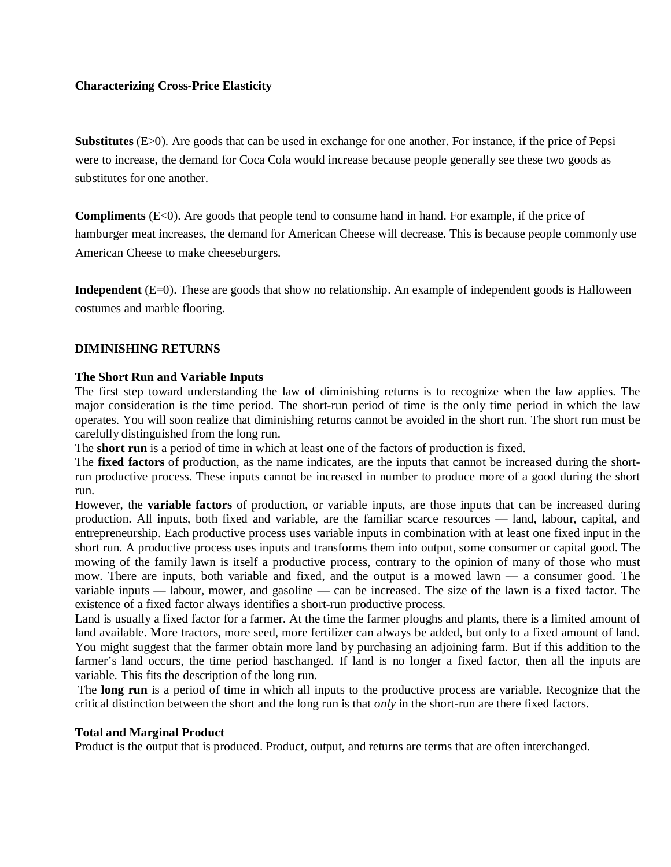## **Characterizing Cross-Price Elasticity**

**Substitutes** (E>0). Are goods that can be used in exchange for one another. For instance, if the price of Pepsi were to increase, the demand for Coca Cola would increase because people generally see these two goods as substitutes for one another.

**Compliments** (E<0). Are goods that people tend to consume hand in hand. For example, if the price of hamburger meat increases, the demand for American Cheese will decrease. This is because people commonly use American Cheese to make cheeseburgers.

**Independent** (E=0). These are goods that show no relationship. An example of independent goods is Halloween costumes and marble flooring.

# **DIMINISHING RETURNS**

## **The Short Run and Variable Inputs**

The first step toward understanding the law of diminishing returns is to recognize when the law applies. The major consideration is the time period. The short-run period of time is the only time period in which the law operates. You will soon realize that diminishing returns cannot be avoided in the short run. The short run must be carefully distinguished from the long run.

The **short run** is a period of time in which at least one of the factors of production is fixed.

The **fixed factors** of production, as the name indicates, are the inputs that cannot be increased during the shortrun productive process. These inputs cannot be increased in number to produce more of a good during the short run.

However, the **variable factors** of production, or variable inputs, are those inputs that can be increased during production. All inputs, both fixed and variable, are the familiar scarce resources — land, labour, capital, and entrepreneurship. Each productive process uses variable inputs in combination with at least one fixed input in the short run. A productive process uses inputs and transforms them into output, some consumer or capital good. The mowing of the family lawn is itself a productive process, contrary to the opinion of many of those who must mow. There are inputs, both variable and fixed, and the output is a mowed lawn — a consumer good. The variable inputs — labour, mower, and gasoline — can be increased. The size of the lawn is a fixed factor. The existence of a fixed factor always identifies a short-run productive process.

Land is usually a fixed factor for a farmer. At the time the farmer ploughs and plants, there is a limited amount of land available. More tractors, more seed, more fertilizer can always be added, but only to a fixed amount of land. You might suggest that the farmer obtain more land by purchasing an adjoining farm. But if this addition to the farmer's land occurs, the time period haschanged. If land is no longer a fixed factor, then all the inputs are variable. This fits the description of the long run.

The **long run** is a period of time in which all inputs to the productive process are variable. Recognize that the critical distinction between the short and the long run is that *only* in the short-run are there fixed factors.

## **Total and Marginal Product**

Product is the output that is produced. Product, output, and returns are terms that are often interchanged.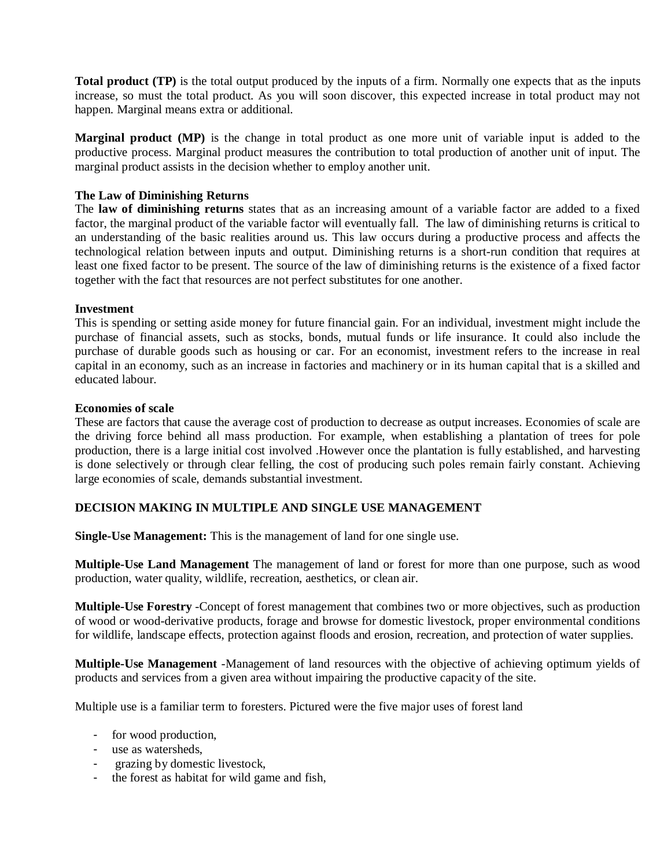**Total product (TP)** is the total output produced by the inputs of a firm. Normally one expects that as the inputs increase, so must the total product. As you will soon discover, this expected increase in total product may not happen. Marginal means extra or additional.

**Marginal product (MP)** is the change in total product as one more unit of variable input is added to the productive process. Marginal product measures the contribution to total production of another unit of input. The marginal product assists in the decision whether to employ another unit.

## **The Law of Diminishing Returns**

The **law of diminishing returns** states that as an increasing amount of a variable factor are added to a fixed factor, the marginal product of the variable factor will eventually fall. The law of diminishing returns is critical to an understanding of the basic realities around us. This law occurs during a productive process and affects the technological relation between inputs and output. Diminishing returns is a short-run condition that requires at least one fixed factor to be present. The source of the law of diminishing returns is the existence of a fixed factor together with the fact that resources are not perfect substitutes for one another.

## **Investment**

This is spending or setting aside money for future financial gain. For an individual, investment might include the purchase of financial assets, such as stocks, bonds, mutual funds or life insurance. It could also include the purchase of durable goods such as housing or car. For an economist, investment refers to the increase in real capital in an economy, such as an increase in factories and machinery or in its human capital that is a skilled and educated labour.

#### **Economies of scale**

These are factors that cause the average cost of production to decrease as output increases. Economies of scale are the driving force behind all mass production. For example, when establishing a plantation of trees for pole production, there is a large initial cost involved .However once the plantation is fully established, and harvesting is done selectively or through clear felling, the cost of producing such poles remain fairly constant. Achieving large economies of scale, demands substantial investment.

## **DECISION MAKING IN MULTIPLE AND SINGLE USE MANAGEMENT**

**Single-Use Management:** This is the management of land for one single use.

**Multiple-Use Land Management** The management of land or forest for more than one purpose, such as wood production, water quality, wildlife, recreation, aesthetics, or clean air.

**Multiple-Use Forestry** -Concept of forest management that combines two or more objectives, such as production of wood or wood-derivative products, forage and browse for domestic livestock, proper environmental conditions for wildlife, landscape effects, protection against floods and erosion, recreation, and protection of water supplies.

**Multiple-Use Management** -Management of land resources with the objective of achieving optimum yields of products and services from a given area without impairing the productive capacity of the site.

Multiple use is a familiar term to foresters. Pictured were the five major uses of forest land

- for wood production,
- use as watersheds,
- grazing by domestic livestock,
- the forest as habitat for wild game and fish,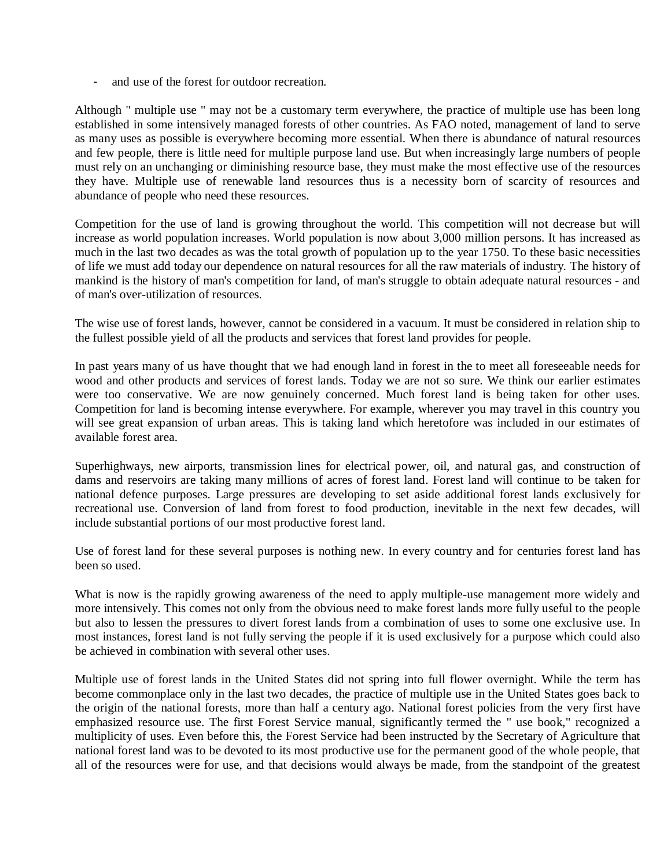- and use of the forest for outdoor recreation.

Although " multiple use " may not be a customary term everywhere, the practice of multiple use has been long established in some intensively managed forests of other countries. As FAO noted, management of land to serve as many uses as possible is everywhere becoming more essential. When there is abundance of natural resources and few people, there is little need for multiple purpose land use. But when increasingly large numbers of people must rely on an unchanging or diminishing resource base, they must make the most effective use of the resources they have. Multiple use of renewable land resources thus is a necessity born of scarcity of resources and abundance of people who need these resources.

Competition for the use of land is growing throughout the world. This competition will not decrease but will increase as world population increases. World population is now about 3,000 million persons. It has increased as much in the last two decades as was the total growth of population up to the year 1750. To these basic necessities of life we must add today our dependence on natural resources for all the raw materials of industry. The history of mankind is the history of man's competition for land, of man's struggle to obtain adequate natural resources - and of man's over-utilization of resources.

The wise use of forest lands, however, cannot be considered in a vacuum. It must be considered in relation ship to the fullest possible yield of all the products and services that forest land provides for people.

In past years many of us have thought that we had enough land in forest in the to meet all foreseeable needs for wood and other products and services of forest lands. Today we are not so sure. We think our earlier estimates were too conservative. We are now genuinely concerned. Much forest land is being taken for other uses. Competition for land is becoming intense everywhere. For example, wherever you may travel in this country you will see great expansion of urban areas. This is taking land which heretofore was included in our estimates of available forest area.

Superhighways, new airports, transmission lines for electrical power, oil, and natural gas, and construction of dams and reservoirs are taking many millions of acres of forest land. Forest land will continue to be taken for national defence purposes. Large pressures are developing to set aside additional forest lands exclusively for recreational use. Conversion of land from forest to food production, inevitable in the next few decades, will include substantial portions of our most productive forest land.

Use of forest land for these several purposes is nothing new. In every country and for centuries forest land has been so used.

What is now is the rapidly growing awareness of the need to apply multiple-use management more widely and more intensively. This comes not only from the obvious need to make forest lands more fully useful to the people but also to lessen the pressures to divert forest lands from a combination of uses to some one exclusive use. In most instances, forest land is not fully serving the people if it is used exclusively for a purpose which could also be achieved in combination with several other uses.

Multiple use of forest lands in the United States did not spring into full flower overnight. While the term has become commonplace only in the last two decades, the practice of multiple use in the United States goes back to the origin of the national forests, more than half a century ago. National forest policies from the very first have emphasized resource use. The first Forest Service manual, significantly termed the " use book," recognized a multiplicity of uses. Even before this, the Forest Service had been instructed by the Secretary of Agriculture that national forest land was to be devoted to its most productive use for the permanent good of the whole people, that all of the resources were for use, and that decisions would always be made, from the standpoint of the greatest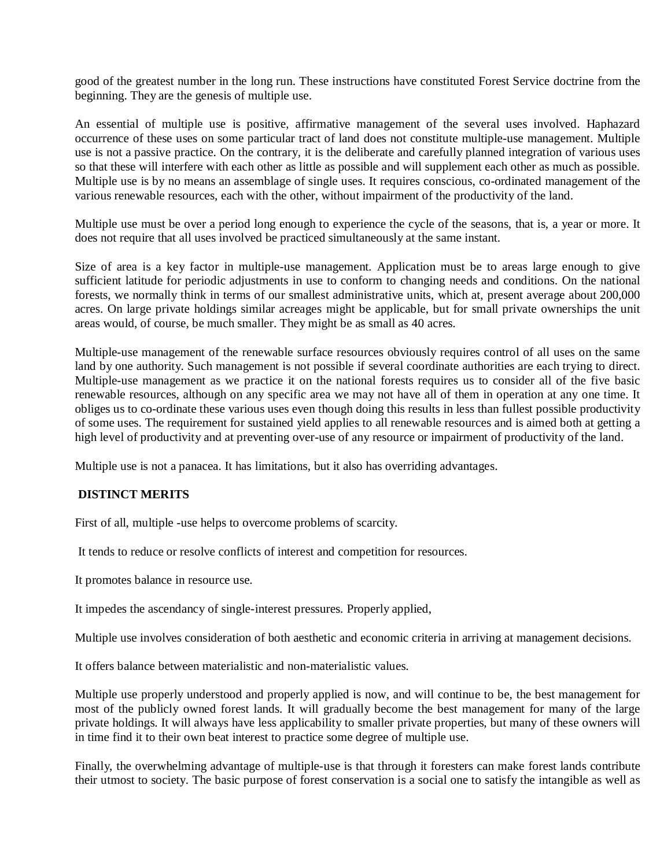good of the greatest number in the long run. These instructions have constituted Forest Service doctrine from the beginning. They are the genesis of multiple use.

An essential of multiple use is positive, affirmative management of the several uses involved. Haphazard occurrence of these uses on some particular tract of land does not constitute multiple-use management. Multiple use is not a passive practice. On the contrary, it is the deliberate and carefully planned integration of various uses so that these will interfere with each other as little as possible and will supplement each other as much as possible. Multiple use is by no means an assemblage of single uses. It requires conscious, co-ordinated management of the various renewable resources, each with the other, without impairment of the productivity of the land.

Multiple use must be over a period long enough to experience the cycle of the seasons, that is, a year or more. It does not require that all uses involved be practiced simultaneously at the same instant.

Size of area is a key factor in multiple-use management. Application must be to areas large enough to give sufficient latitude for periodic adjustments in use to conform to changing needs and conditions. On the national forests, we normally think in terms of our smallest administrative units, which at, present average about 200,000 acres. On large private holdings similar acreages might be applicable, but for small private ownerships the unit areas would, of course, be much smaller. They might be as small as 40 acres.

Multiple-use management of the renewable surface resources obviously requires control of all uses on the same land by one authority. Such management is not possible if several coordinate authorities are each trying to direct. Multiple-use management as we practice it on the national forests requires us to consider all of the five basic renewable resources, although on any specific area we may not have all of them in operation at any one time. It obliges us to co-ordinate these various uses even though doing this results in less than fullest possible productivity of some uses. The requirement for sustained yield applies to all renewable resources and is aimed both at getting a high level of productivity and at preventing over-use of any resource or impairment of productivity of the land.

Multiple use is not a panacea. It has limitations, but it also has overriding advantages.

#### **DISTINCT MERITS**

First of all, multiple -use helps to overcome problems of scarcity.

It tends to reduce or resolve conflicts of interest and competition for resources.

It promotes balance in resource use.

It impedes the ascendancy of single-interest pressures. Properly applied,

Multiple use involves consideration of both aesthetic and economic criteria in arriving at management decisions.

It offers balance between materialistic and non-materialistic values.

Multiple use properly understood and properly applied is now, and will continue to be, the best management for most of the publicly owned forest lands. It will gradually become the best management for many of the large private holdings. It will always have less applicability to smaller private properties, but many of these owners will in time find it to their own beat interest to practice some degree of multiple use.

Finally, the overwhelming advantage of multiple-use is that through it foresters can make forest lands contribute their utmost to society. The basic purpose of forest conservation is a social one to satisfy the intangible as well as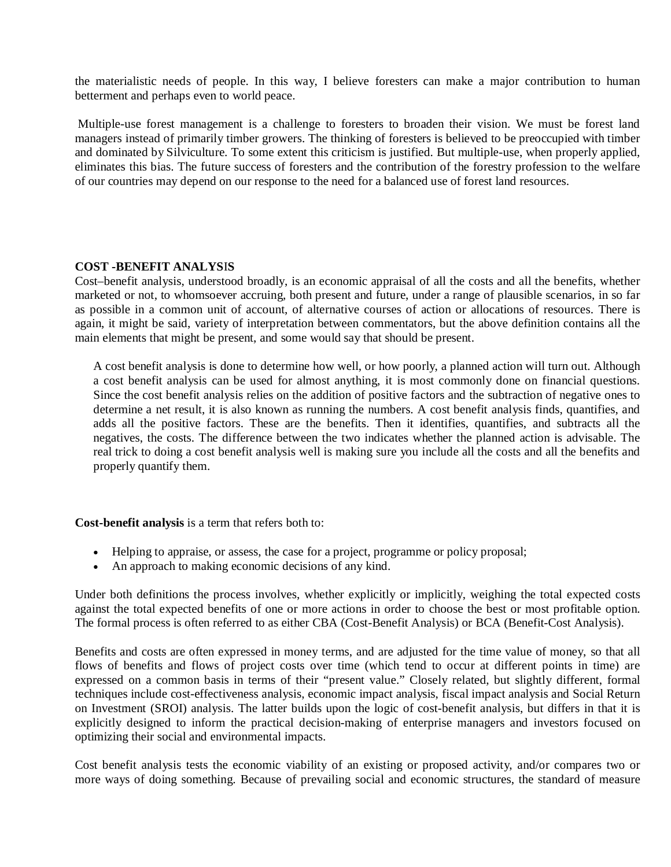the materialistic needs of people. In this way, I believe foresters can make a major contribution to human betterment and perhaps even to world peace.

Multiple-use forest management is a challenge to foresters to broaden their vision. We must be forest land managers instead of primarily timber growers. The thinking of foresters is believed to be preoccupied with timber and dominated by Silviculture. To some extent this criticism is justified. But multiple-use, when properly applied, eliminates this bias. The future success of foresters and the contribution of the forestry profession to the welfare of our countries may depend on our response to the need for a balanced use of forest land resources.

#### **COST -BENEFIT ANALYS**I**S**

Cost–benefit analysis, understood broadly, is an economic appraisal of all the costs and all the benefits, whether marketed or not, to whomsoever accruing, both present and future, under a range of plausible scenarios, in so far as possible in a common unit of account, of alternative courses of action or allocations of resources. There is again, it might be said, variety of interpretation between commentators, but the above definition contains all the main elements that might be present, and some would say that should be present.

A cost benefit analysis is done to determine how well, or how poorly, a planned action will turn out. Although a cost benefit analysis can be used for almost anything, it is most commonly done on financial questions. Since the cost benefit analysis relies on the addition of positive factors and the subtraction of negative ones to determine a net result, it is also known as running the numbers. A cost benefit analysis finds, quantifies, and adds all the positive factors. These are the benefits. Then it identifies, quantifies, and subtracts all the negatives, the costs. The difference between the two indicates whether the planned action is advisable. The real trick to doing a cost benefit analysis well is making sure you include all the costs and all the benefits and properly quantify them.

**Cost-benefit analysis** is a term that refers both to:

- Helping to appraise, or assess, the case for a project, programme or policy proposal;
- An approach to making economic decisions of any kind.

Under both definitions the process involves, whether explicitly or implicitly, weighing the total expected costs against the total expected benefits of one or more actions in order to choose the best or most profitable option. The formal process is often referred to as either CBA (Cost-Benefit Analysis) or BCA (Benefit-Cost Analysis).

Benefits and costs are often expressed in money terms, and are adjusted for the time value of money, so that all flows of benefits and flows of project costs over time (which tend to occur at different points in time) are expressed on a common basis in terms of their "present value." Closely related, but slightly different, formal techniques include cost-effectiveness analysis, economic impact analysis, fiscal impact analysis and Social Return on Investment (SROI) analysis. The latter builds upon the logic of cost-benefit analysis, but differs in that it is explicitly designed to inform the practical decision-making of enterprise managers and investors focused on optimizing their social and environmental impacts.

Cost benefit analysis tests the economic viability of an existing or proposed activity, and/or compares two or more ways of doing something. Because of prevailing social and economic structures, the standard of measure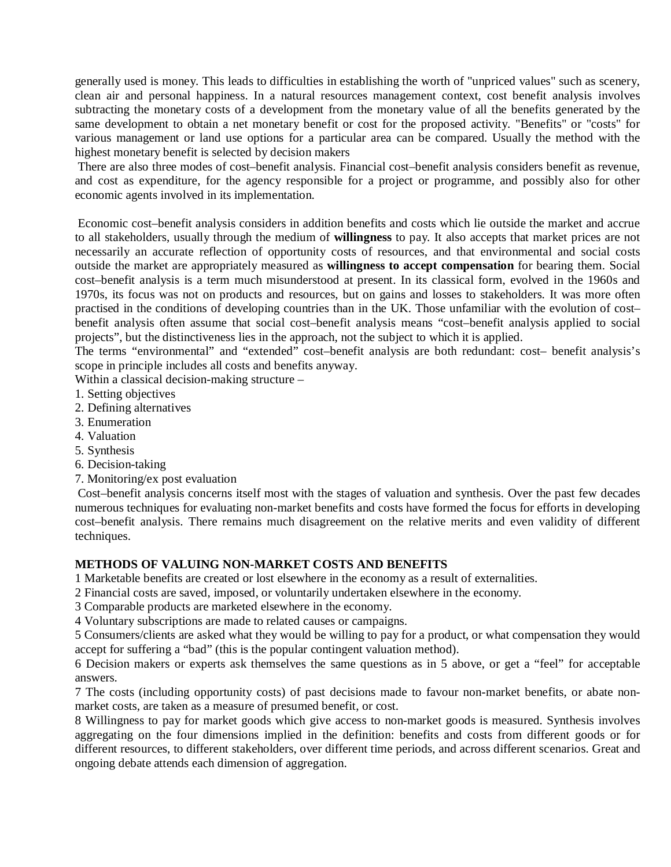generally used is money. This leads to difficulties in establishing the worth of "unpriced values" such as scenery, clean air and personal happiness. In a natural resources management context, cost benefit analysis involves subtracting the monetary costs of a development from the monetary value of all the benefits generated by the same development to obtain a net monetary benefit or cost for the proposed activity. "Benefits" or "costs" for various management or land use options for a particular area can be compared. Usually the method with the highest monetary benefit is selected by decision makers

There are also three modes of cost–benefit analysis. Financial cost–benefit analysis considers benefit as revenue, and cost as expenditure, for the agency responsible for a project or programme, and possibly also for other economic agents involved in its implementation.

Economic cost–benefit analysis considers in addition benefits and costs which lie outside the market and accrue to all stakeholders, usually through the medium of **willingness** to pay. It also accepts that market prices are not necessarily an accurate reflection of opportunity costs of resources, and that environmental and social costs outside the market are appropriately measured as **willingness to accept compensation** for bearing them. Social cost–benefit analysis is a term much misunderstood at present. In its classical form, evolved in the 1960s and 1970s, its focus was not on products and resources, but on gains and losses to stakeholders. It was more often practised in the conditions of developing countries than in the UK. Those unfamiliar with the evolution of cost– benefit analysis often assume that social cost–benefit analysis means "cost–benefit analysis applied to social projects", but the distinctiveness lies in the approach, not the subject to which it is applied.

The terms "environmental" and "extended" cost–benefit analysis are both redundant: cost– benefit analysis's scope in principle includes all costs and benefits anyway.

Within a classical decision-making structure –

- 1. Setting objectives
- 2. Defining alternatives
- 3. Enumeration
- 4. Valuation
- 5. Synthesis
- 6. Decision-taking
- 7. Monitoring/ex post evaluation

Cost–benefit analysis concerns itself most with the stages of valuation and synthesis. Over the past few decades numerous techniques for evaluating non-market benefits and costs have formed the focus for efforts in developing cost–benefit analysis. There remains much disagreement on the relative merits and even validity of different techniques.

#### **METHODS OF VALUING NON-MARKET COSTS AND BENEFITS**

1 Marketable benefits are created or lost elsewhere in the economy as a result of externalities.

- 2 Financial costs are saved, imposed, or voluntarily undertaken elsewhere in the economy.
- 3 Comparable products are marketed elsewhere in the economy.
- 4 Voluntary subscriptions are made to related causes or campaigns.

5 Consumers/clients are asked what they would be willing to pay for a product, or what compensation they would accept for suffering a "bad" (this is the popular contingent valuation method).

6 Decision makers or experts ask themselves the same questions as in 5 above, or get a "feel" for acceptable answers.

7 The costs (including opportunity costs) of past decisions made to favour non-market benefits, or abate nonmarket costs, are taken as a measure of presumed benefit, or cost.

8 Willingness to pay for market goods which give access to non-market goods is measured. Synthesis involves aggregating on the four dimensions implied in the definition: benefits and costs from different goods or for different resources, to different stakeholders, over different time periods, and across different scenarios. Great and ongoing debate attends each dimension of aggregation.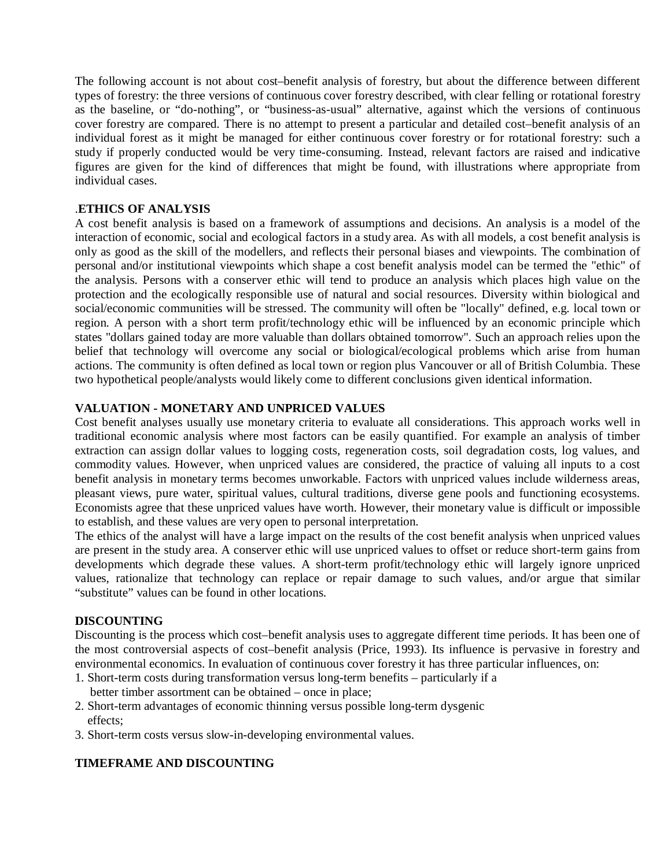The following account is not about cost–benefit analysis of forestry, but about the difference between different types of forestry: the three versions of continuous cover forestry described, with clear felling or rotational forestry as the baseline, or "do-nothing", or "business-as-usual" alternative, against which the versions of continuous cover forestry are compared. There is no attempt to present a particular and detailed cost–benefit analysis of an individual forest as it might be managed for either continuous cover forestry or for rotational forestry: such a study if properly conducted would be very time-consuming. Instead, relevant factors are raised and indicative figures are given for the kind of differences that might be found, with illustrations where appropriate from individual cases.

## .**ETHICS OF ANALYSIS**

A cost benefit analysis is based on a framework of assumptions and decisions. An analysis is a model of the interaction of economic, social and ecological factors in a study area. As with all models, a cost benefit analysis is only as good as the skill of the modellers, and reflects their personal biases and viewpoints. The combination of personal and/or institutional viewpoints which shape a cost benefit analysis model can be termed the "ethic" of the analysis. Persons with a conserver ethic will tend to produce an analysis which places high value on the protection and the ecologically responsible use of natural and social resources. Diversity within biological and social/economic communities will be stressed. The community will often be "locally" defined, e.g. local town or region. A person with a short term profit/technology ethic will be influenced by an economic principle which states "dollars gained today are more valuable than dollars obtained tomorrow". Such an approach relies upon the belief that technology will overcome any social or biological/ecological problems which arise from human actions. The community is often defined as local town or region plus Vancouver or all of British Columbia. These two hypothetical people/analysts would likely come to different conclusions given identical information.

## **VALUATION - MONETARY AND UNPRICED VALUES**

Cost benefit analyses usually use monetary criteria to evaluate all considerations. This approach works well in traditional economic analysis where most factors can be easily quantified. For example an analysis of timber extraction can assign dollar values to logging costs, regeneration costs, soil degradation costs, log values, and commodity values. However, when unpriced values are considered, the practice of valuing all inputs to a cost benefit analysis in monetary terms becomes unworkable. Factors with unpriced values include wilderness areas, pleasant views, pure water, spiritual values, cultural traditions, diverse gene pools and functioning ecosystems. Economists agree that these unpriced values have worth. However, their monetary value is difficult or impossible to establish, and these values are very open to personal interpretation.

The ethics of the analyst will have a large impact on the results of the cost benefit analysis when unpriced values are present in the study area. A conserver ethic will use unpriced values to offset or reduce short-term gains from developments which degrade these values. A short-term profit/technology ethic will largely ignore unpriced values, rationalize that technology can replace or repair damage to such values, and/or argue that similar "substitute" values can be found in other locations.

#### **DISCOUNTING**

Discounting is the process which cost–benefit analysis uses to aggregate different time periods. It has been one of the most controversial aspects of cost–benefit analysis (Price, 1993). Its influence is pervasive in forestry and environmental economics. In evaluation of continuous cover forestry it has three particular influences, on:

- 1. Short-term costs during transformation versus long-term benefits particularly if a better timber assortment can be obtained – once in place;
- 2. Short-term advantages of economic thinning versus possible long-term dysgenic effects;
- 3. Short-term costs versus slow-in-developing environmental values.

## **TIMEFRAME AND DISCOUNTING**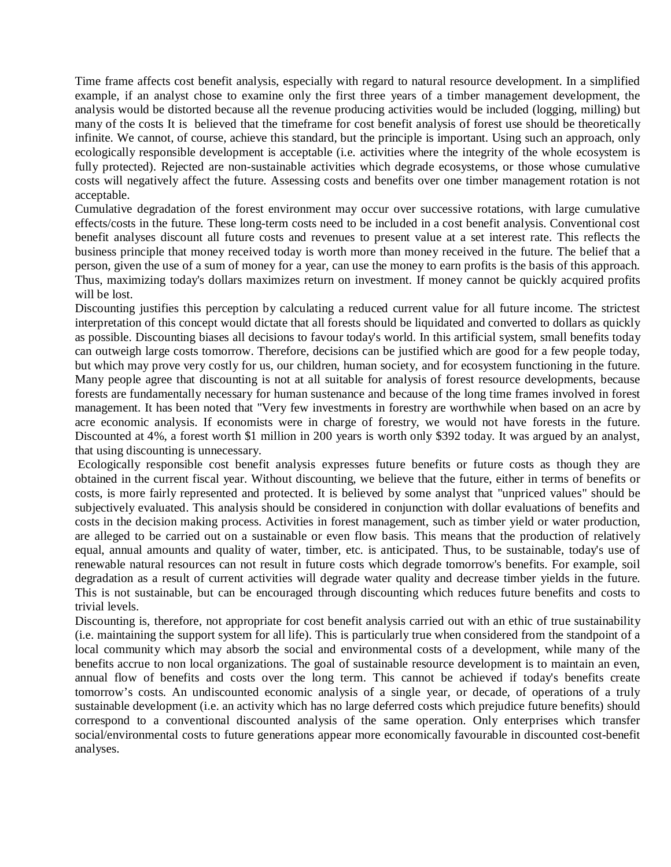Time frame affects cost benefit analysis, especially with regard to natural resource development. In a simplified example, if an analyst chose to examine only the first three years of a timber management development, the analysis would be distorted because all the revenue producing activities would be included (logging, milling) but many of the costs It is believed that the timeframe for cost benefit analysis of forest use should be theoretically infinite. We cannot, of course, achieve this standard, but the principle is important. Using such an approach, only ecologically responsible development is acceptable (i.e. activities where the integrity of the whole ecosystem is fully protected). Rejected are non-sustainable activities which degrade ecosystems, or those whose cumulative costs will negatively affect the future. Assessing costs and benefits over one timber management rotation is not acceptable.

Cumulative degradation of the forest environment may occur over successive rotations, with large cumulative effects/costs in the future. These long-term costs need to be included in a cost benefit analysis. Conventional cost benefit analyses discount all future costs and revenues to present value at a set interest rate. This reflects the business principle that money received today is worth more than money received in the future. The belief that a person, given the use of a sum of money for a year, can use the money to earn profits is the basis of this approach. Thus, maximizing today's dollars maximizes return on investment. If money cannot be quickly acquired profits will be lost.

Discounting justifies this perception by calculating a reduced current value for all future income. The strictest interpretation of this concept would dictate that all forests should be liquidated and converted to dollars as quickly as possible. Discounting biases all decisions to favour today's world. In this artificial system, small benefits today can outweigh large costs tomorrow. Therefore, decisions can be justified which are good for a few people today, but which may prove very costly for us, our children, human society, and for ecosystem functioning in the future. Many people agree that discounting is not at all suitable for analysis of forest resource developments, because forests are fundamentally necessary for human sustenance and because of the long time frames involved in forest management. It has been noted that "Very few investments in forestry are worthwhile when based on an acre by acre economic analysis. If economists were in charge of forestry, we would not have forests in the future. Discounted at 4%, a forest worth \$1 million in 200 years is worth only \$392 today. It was argued by an analyst, that using discounting is unnecessary.

Ecologically responsible cost benefit analysis expresses future benefits or future costs as though they are obtained in the current fiscal year. Without discounting, we believe that the future, either in terms of benefits or costs, is more fairly represented and protected. It is believed by some analyst that "unpriced values" should be subjectively evaluated. This analysis should be considered in conjunction with dollar evaluations of benefits and costs in the decision making process. Activities in forest management, such as timber yield or water production, are alleged to be carried out on a sustainable or even flow basis. This means that the production of relatively equal, annual amounts and quality of water, timber, etc. is anticipated. Thus, to be sustainable, today's use of renewable natural resources can not result in future costs which degrade tomorrow's benefits. For example, soil degradation as a result of current activities will degrade water quality and decrease timber yields in the future. This is not sustainable, but can be encouraged through discounting which reduces future benefits and costs to trivial levels.

Discounting is, therefore, not appropriate for cost benefit analysis carried out with an ethic of true sustainability (i.e. maintaining the support system for all life). This is particularly true when considered from the standpoint of a local community which may absorb the social and environmental costs of a development, while many of the benefits accrue to non local organizations. The goal of sustainable resource development is to maintain an even, annual flow of benefits and costs over the long term. This cannot be achieved if today's benefits create tomorrow's costs. An undiscounted economic analysis of a single year, or decade, of operations of a truly sustainable development (i.e. an activity which has no large deferred costs which prejudice future benefits) should correspond to a conventional discounted analysis of the same operation. Only enterprises which transfer social/environmental costs to future generations appear more economically favourable in discounted cost-benefit analyses.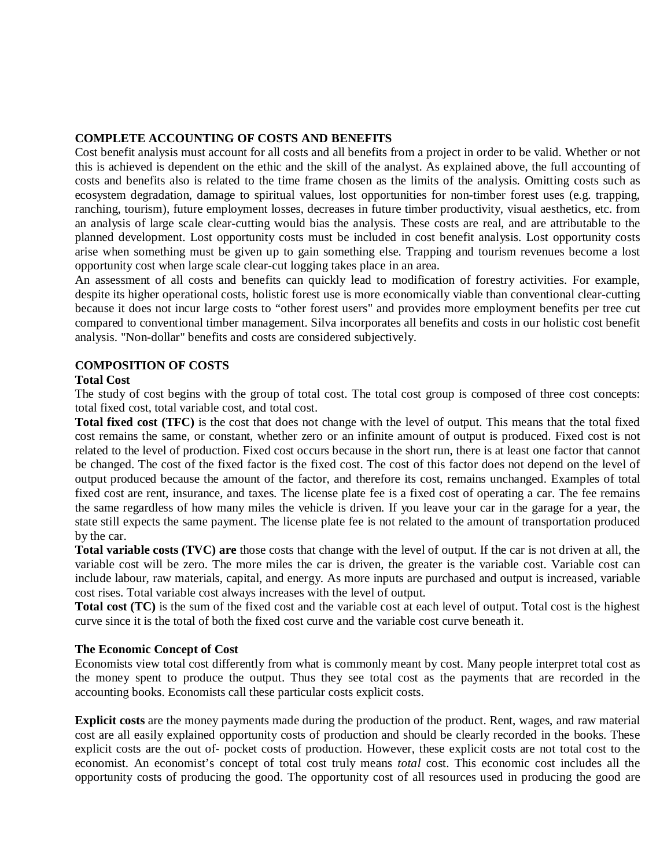## **COMPLETE ACCOUNTING OF COSTS AND BENEFITS**

Cost benefit analysis must account for all costs and all benefits from a project in order to be valid. Whether or not this is achieved is dependent on the ethic and the skill of the analyst. As explained above, the full accounting of costs and benefits also is related to the time frame chosen as the limits of the analysis. Omitting costs such as ecosystem degradation, damage to spiritual values, lost opportunities for non-timber forest uses (e.g. trapping, ranching, tourism), future employment losses, decreases in future timber productivity, visual aesthetics, etc. from an analysis of large scale clear-cutting would bias the analysis. These costs are real, and are attributable to the planned development. Lost opportunity costs must be included in cost benefit analysis. Lost opportunity costs arise when something must be given up to gain something else. Trapping and tourism revenues become a lost opportunity cost when large scale clear-cut logging takes place in an area.

An assessment of all costs and benefits can quickly lead to modification of forestry activities. For example, despite its higher operational costs, holistic forest use is more economically viable than conventional clear-cutting because it does not incur large costs to "other forest users" and provides more employment benefits per tree cut compared to conventional timber management. Silva incorporates all benefits and costs in our holistic cost benefit analysis. "Non-dollar" benefits and costs are considered subjectively.

## **COMPOSITION OF COSTS**

#### **Total Cost**

The study of cost begins with the group of total cost. The total cost group is composed of three cost concepts: total fixed cost, total variable cost, and total cost.

**Total fixed cost (TFC)** is the cost that does not change with the level of output. This means that the total fixed cost remains the same, or constant, whether zero or an infinite amount of output is produced. Fixed cost is not related to the level of production. Fixed cost occurs because in the short run, there is at least one factor that cannot be changed. The cost of the fixed factor is the fixed cost. The cost of this factor does not depend on the level of output produced because the amount of the factor, and therefore its cost, remains unchanged. Examples of total fixed cost are rent, insurance, and taxes. The license plate fee is a fixed cost of operating a car. The fee remains the same regardless of how many miles the vehicle is driven. If you leave your car in the garage for a year, the state still expects the same payment. The license plate fee is not related to the amount of transportation produced by the car.

**Total variable costs (TVC) are** those costs that change with the level of output. If the car is not driven at all, the variable cost will be zero. The more miles the car is driven, the greater is the variable cost. Variable cost can include labour, raw materials, capital, and energy. As more inputs are purchased and output is increased, variable cost rises. Total variable cost always increases with the level of output.

**Total cost (TC)** is the sum of the fixed cost and the variable cost at each level of output. Total cost is the highest curve since it is the total of both the fixed cost curve and the variable cost curve beneath it.

#### **The Economic Concept of Cost**

Economists view total cost differently from what is commonly meant by cost. Many people interpret total cost as the money spent to produce the output. Thus they see total cost as the payments that are recorded in the accounting books. Economists call these particular costs explicit costs.

**Explicit costs** are the money payments made during the production of the product. Rent, wages, and raw material cost are all easily explained opportunity costs of production and should be clearly recorded in the books. These explicit costs are the out of- pocket costs of production. However, these explicit costs are not total cost to the economist. An economist's concept of total cost truly means *total* cost. This economic cost includes all the opportunity costs of producing the good. The opportunity cost of all resources used in producing the good are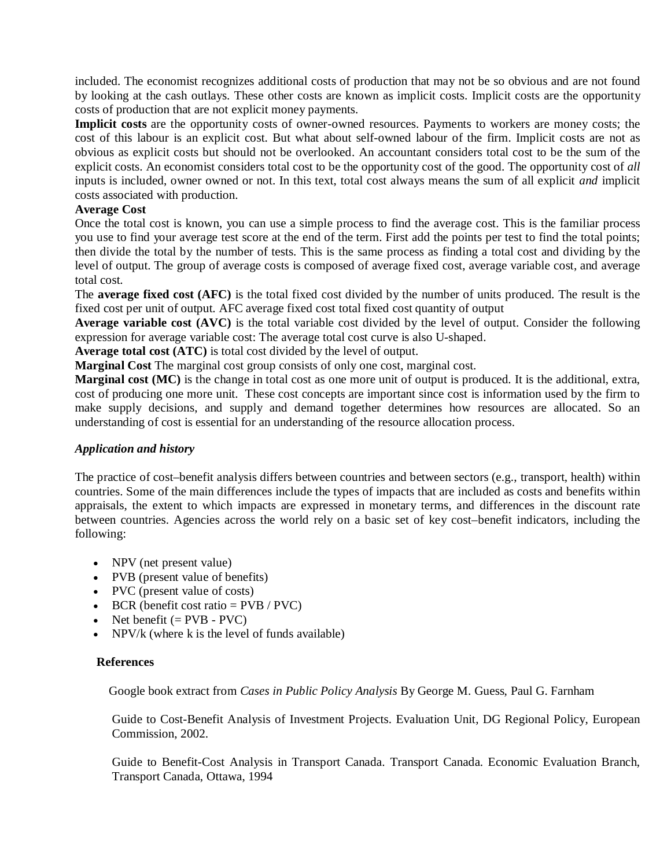included. The economist recognizes additional costs of production that may not be so obvious and are not found by looking at the cash outlays. These other costs are known as implicit costs. Implicit costs are the opportunity costs of production that are not explicit money payments.

**Implicit costs** are the opportunity costs of owner-owned resources. Payments to workers are money costs; the cost of this labour is an explicit cost. But what about self-owned labour of the firm. Implicit costs are not as obvious as explicit costs but should not be overlooked. An accountant considers total cost to be the sum of the explicit costs. An economist considers total cost to be the opportunity cost of the good. The opportunity cost of *all*  inputs is included, owner owned or not. In this text, total cost always means the sum of all explicit *and* implicit costs associated with production.

## **Average Cost**

Once the total cost is known, you can use a simple process to find the average cost. This is the familiar process you use to find your average test score at the end of the term. First add the points per test to find the total points; then divide the total by the number of tests. This is the same process as finding a total cost and dividing by the level of output. The group of average costs is composed of average fixed cost, average variable cost, and average total cost.

The **average fixed cost (AFC)** is the total fixed cost divided by the number of units produced. The result is the fixed cost per unit of output. AFC average fixed cost total fixed cost quantity of output

**Average variable cost (AVC)** is the total variable cost divided by the level of output. Consider the following expression for average variable cost: The average total cost curve is also U-shaped.

**Average total cost (ATC)** is total cost divided by the level of output.

**Marginal Cost** The marginal cost group consists of only one cost, marginal cost.

**Marginal cost (MC)** is the change in total cost as one more unit of output is produced. It is the additional, extra, cost of producing one more unit. These cost concepts are important since cost is information used by the firm to make supply decisions, and supply and demand together determines how resources are allocated. So an understanding of cost is essential for an understanding of the resource allocation process.

# *Application and history*

The practice of cost–benefit analysis differs between countries and between sectors (e.g., transport, health) within countries. Some of the main differences include the types of impacts that are included as costs and benefits within appraisals, the extent to which impacts are expressed in monetary terms, and differences in the discount rate between countries. Agencies across the world rely on a basic set of key cost–benefit indicators, including the following:

- NPV (net present value)
- PVB (present value of benefits)
- PVC (present value of costs)
- $\bullet$  BCR (benefit cost ratio = PVB / PVC)
- Net benefit  $(= PVB PVC)$
- NPV/k (where k is the level of funds available)

# **References**

Google book extract from *Cases in Public Policy Analysis* By George M. Guess, Paul G. Farnham

Guide to Cost-Benefit Analysis of Investment Projects. Evaluation Unit, DG Regional Policy, European Commission, 2002.

Guide to Benefit-Cost Analysis in Transport Canada. Transport Canada. Economic Evaluation Branch, Transport Canada, Ottawa, 1994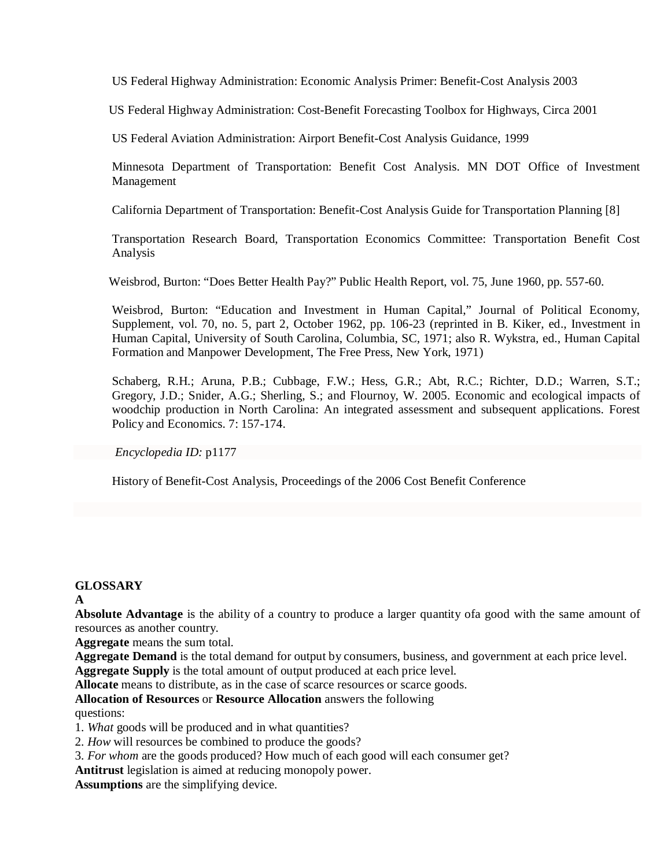US Federal Highway Administration: Economic Analysis Primer: Benefit-Cost Analysis 2003

US Federal Highway Administration: Cost-Benefit Forecasting Toolbox for Highways, Circa 2001

US Federal Aviation Administration: Airport Benefit-Cost Analysis Guidance, 1999

Minnesota Department of Transportation: Benefit Cost Analysis. MN DOT Office of Investment Management

California Department of Transportation: Benefit-Cost Analysis Guide for Transportation Planning [8]

Transportation Research Board, Transportation Economics Committee: Transportation Benefit Cost Analysis

Weisbrod, Burton: "Does Better Health Pay?" Public Health Report, vol. 75, June 1960, pp. 557-60.

Weisbrod, Burton: "Education and Investment in Human Capital," Journal of Political Economy, Supplement, vol. 70, no. 5, part 2, October 1962, pp. 106-23 (reprinted in B. Kiker, ed., Investment in Human Capital, University of South Carolina, Columbia, SC, 1971; also R. Wykstra, ed., Human Capital Formation and Manpower Development, The Free Press, New York, 1971)

Schaberg, R.H.; Aruna, P.B.; Cubbage, F.W.; Hess, G.R.; Abt, R.C.; Richter, D.D.; Warren, S.T.; Gregory, J.D.; Snider, A.G.; Sherling, S.; and Flournoy, W. 2005. Economic and ecological impacts of woodchip production in North Carolina: An integrated assessment and subsequent applications. Forest Policy and Economics. 7: 157-174.

 *Encyclopedia ID:* p1177

History of Benefit-Cost Analysis, Proceedings of the 2006 Cost Benefit Conference

# **GLOSSARY**

## **A**

**Absolute Advantage** is the ability of a country to produce a larger quantity ofa good with the same amount of resources as another country.

**Aggregate** means the sum total.

**Aggregate Demand** is the total demand for output by consumers, business, and government at each price level. **Aggregate Supply** is the total amount of output produced at each price level.

**Allocate** means to distribute, as in the case of scarce resources or scarce goods.

**Allocation of Resources** or **Resource Allocation** answers the following

questions:

1. *What* goods will be produced and in what quantities?

2. *How* will resources be combined to produce the goods?

3. *For whom* are the goods produced? How much of each good will each consumer get?

**Antitrust** legislation is aimed at reducing monopoly power.

**Assumptions** are the simplifying device.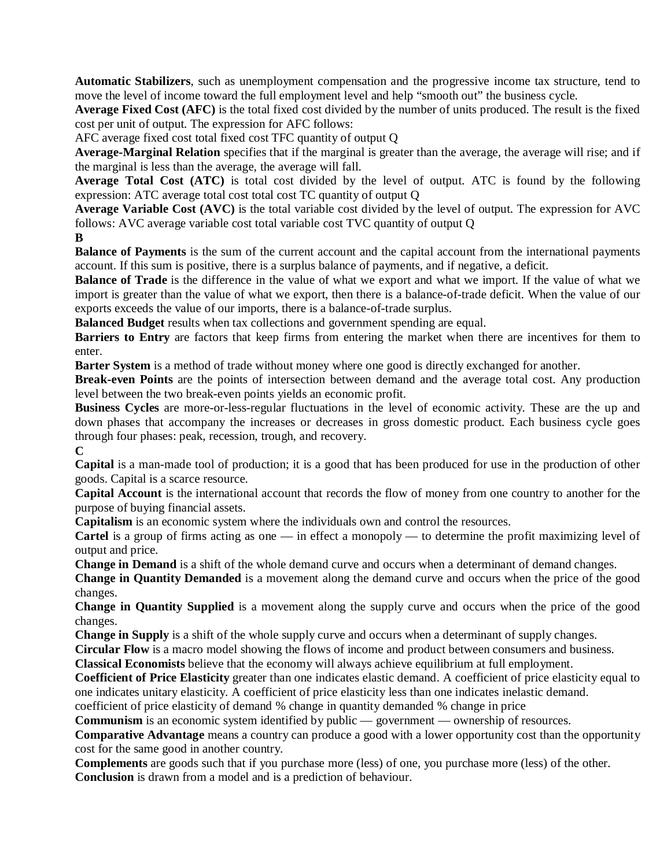**Automatic Stabilizers**, such as unemployment compensation and the progressive income tax structure, tend to move the level of income toward the full employment level and help "smooth out" the business cycle.

**Average Fixed Cost (AFC)** is the total fixed cost divided by the number of units produced. The result is the fixed cost per unit of output. The expression for AFC follows:

AFC average fixed cost total fixed cost TFC quantity of output Q

**Average-Marginal Relation** specifies that if the marginal is greater than the average, the average will rise; and if the marginal is less than the average, the average will fall.

**Average Total Cost (ATC)** is total cost divided by the level of output. ATC is found by the following expression: ATC average total cost total cost TC quantity of output Q

**Average Variable Cost (AVC)** is the total variable cost divided by the level of output. The expression for AVC follows: AVC average variable cost total variable cost TVC quantity of output Q

**B**

**Balance of Payments** is the sum of the current account and the capital account from the international payments account. If this sum is positive, there is a surplus balance of payments, and if negative, a deficit.

**Balance of Trade** is the difference in the value of what we export and what we import. If the value of what we import is greater than the value of what we export, then there is a balance-of-trade deficit. When the value of our exports exceeds the value of our imports, there is a balance-of-trade surplus.

**Balanced Budget** results when tax collections and government spending are equal.

**Barriers to Entry** are factors that keep firms from entering the market when there are incentives for them to enter.

**Barter System** is a method of trade without money where one good is directly exchanged for another.

**Break-even Points** are the points of intersection between demand and the average total cost. Any production level between the two break-even points yields an economic profit.

**Business Cycles** are more-or-less-regular fluctuations in the level of economic activity. These are the up and down phases that accompany the increases or decreases in gross domestic product. Each business cycle goes through four phases: peak, recession, trough, and recovery.

**C**

**Capital** is a man-made tool of production; it is a good that has been produced for use in the production of other goods. Capital is a scarce resource.

**Capital Account** is the international account that records the flow of money from one country to another for the purpose of buying financial assets.

**Capitalism** is an economic system where the individuals own and control the resources.

**Cartel** is a group of firms acting as one — in effect a monopoly — to determine the profit maximizing level of output and price.

**Change in Demand** is a shift of the whole demand curve and occurs when a determinant of demand changes.

**Change in Quantity Demanded** is a movement along the demand curve and occurs when the price of the good changes.

**Change in Quantity Supplied** is a movement along the supply curve and occurs when the price of the good changes.

**Change in Supply** is a shift of the whole supply curve and occurs when a determinant of supply changes.

**Circular Flow** is a macro model showing the flows of income and product between consumers and business.

**Classical Economists** believe that the economy will always achieve equilibrium at full employment.

**Coefficient of Price Elasticity** greater than one indicates elastic demand. A coefficient of price elasticity equal to one indicates unitary elasticity. A coefficient of price elasticity less than one indicates inelastic demand.

coefficient of price elasticity of demand % change in quantity demanded % change in price

**Communism** is an economic system identified by public — government — ownership of resources.

**Comparative Advantage** means a country can produce a good with a lower opportunity cost than the opportunity cost for the same good in another country.

**Complements** are goods such that if you purchase more (less) of one, you purchase more (less) of the other. **Conclusion** is drawn from a model and is a prediction of behaviour.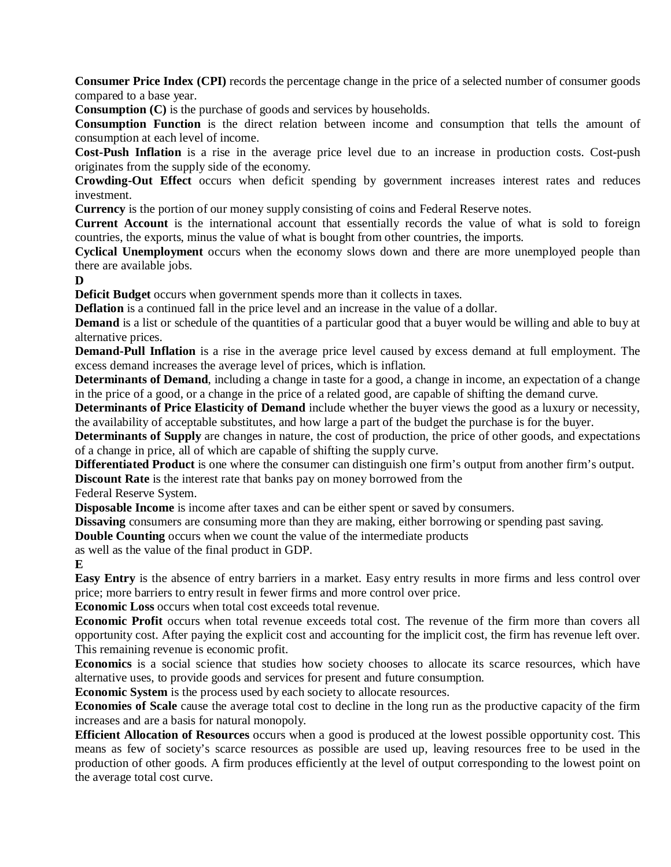**Consumer Price Index (CPI)** records the percentage change in the price of a selected number of consumer goods compared to a base year.

**Consumption (C)** is the purchase of goods and services by households.

**Consumption Function** is the direct relation between income and consumption that tells the amount of consumption at each level of income.

**Cost-Push Inflation** is a rise in the average price level due to an increase in production costs. Cost-push originates from the supply side of the economy.

**Crowding-Out Effect** occurs when deficit spending by government increases interest rates and reduces investment.

**Currency** is the portion of our money supply consisting of coins and Federal Reserve notes.

**Current Account** is the international account that essentially records the value of what is sold to foreign countries, the exports, minus the value of what is bought from other countries, the imports.

**Cyclical Unemployment** occurs when the economy slows down and there are more unemployed people than there are available jobs.

## **D**

**Deficit Budget** occurs when government spends more than it collects in taxes.

**Deflation** is a continued fall in the price level and an increase in the value of a dollar.

**Demand** is a list or schedule of the quantities of a particular good that a buyer would be willing and able to buy at alternative prices.

**Demand-Pull Inflation** is a rise in the average price level caused by excess demand at full employment. The excess demand increases the average level of prices, which is inflation.

**Determinants of Demand**, including a change in taste for a good, a change in income, an expectation of a change in the price of a good, or a change in the price of a related good, are capable of shifting the demand curve.

**Determinants of Price Elasticity of Demand** include whether the buyer views the good as a luxury or necessity, the availability of acceptable substitutes, and how large a part of the budget the purchase is for the buyer.

**Determinants of Supply** are changes in nature, the cost of production, the price of other goods, and expectations of a change in price, all of which are capable of shifting the supply curve.

**Differentiated Product** is one where the consumer can distinguish one firm's output from another firm's output.

**Discount Rate** is the interest rate that banks pay on money borrowed from the

Federal Reserve System.

**Disposable Income** is income after taxes and can be either spent or saved by consumers.

**Dissaving** consumers are consuming more than they are making, either borrowing or spending past saving.

**Double Counting** occurs when we count the value of the intermediate products

as well as the value of the final product in GDP.

**E**

**Easy Entry** is the absence of entry barriers in a market. Easy entry results in more firms and less control over price; more barriers to entry result in fewer firms and more control over price.

**Economic Loss** occurs when total cost exceeds total revenue.

**Economic Profit** occurs when total revenue exceeds total cost. The revenue of the firm more than covers all opportunity cost. After paying the explicit cost and accounting for the implicit cost, the firm has revenue left over. This remaining revenue is economic profit.

**Economics** is a social science that studies how society chooses to allocate its scarce resources, which have alternative uses, to provide goods and services for present and future consumption.

**Economic System** is the process used by each society to allocate resources.

**Economies of Scale** cause the average total cost to decline in the long run as the productive capacity of the firm increases and are a basis for natural monopoly.

**Efficient Allocation of Resources** occurs when a good is produced at the lowest possible opportunity cost. This means as few of society's scarce resources as possible are used up, leaving resources free to be used in the production of other goods. A firm produces efficiently at the level of output corresponding to the lowest point on the average total cost curve.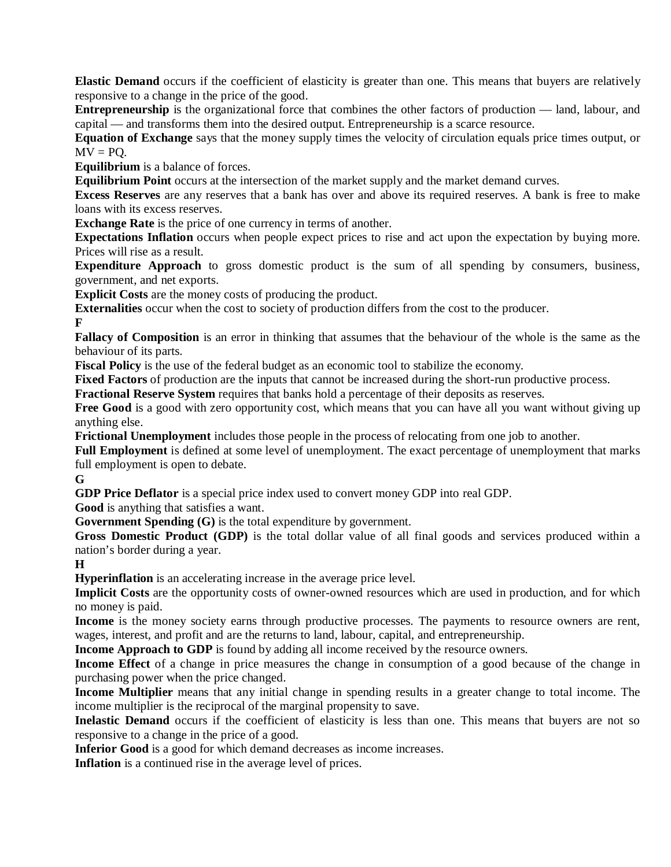**Elastic Demand** occurs if the coefficient of elasticity is greater than one. This means that buyers are relatively responsive to a change in the price of the good.

**Entrepreneurship** is the organizational force that combines the other factors of production — land, labour, and capital — and transforms them into the desired output. Entrepreneurship is a scarce resource.

**Equation of Exchange** says that the money supply times the velocity of circulation equals price times output, or  $MV = PO.$ 

**Equilibrium** is a balance of forces.

**Equilibrium Point** occurs at the intersection of the market supply and the market demand curves.

**Excess Reserves** are any reserves that a bank has over and above its required reserves. A bank is free to make loans with its excess reserves.

**Exchange Rate** is the price of one currency in terms of another.

**Expectations Inflation** occurs when people expect prices to rise and act upon the expectation by buying more. Prices will rise as a result.

**Expenditure Approach** to gross domestic product is the sum of all spending by consumers, business, government, and net exports.

**Explicit Costs** are the money costs of producing the product.

**Externalities** occur when the cost to society of production differs from the cost to the producer.

**F**

**Fallacy of Composition** is an error in thinking that assumes that the behaviour of the whole is the same as the behaviour of its parts.

Fiscal Policy is the use of the federal budget as an economic tool to stabilize the economy.

Fixed Factors of production are the inputs that cannot be increased during the short-run productive process.

**Fractional Reserve System** requires that banks hold a percentage of their deposits as reserves.

**Free Good** is a good with zero opportunity cost, which means that you can have all you want without giving up anything else.

**Frictional Unemployment** includes those people in the process of relocating from one job to another.

**Full Employment** is defined at some level of unemployment. The exact percentage of unemployment that marks full employment is open to debate.

**G**

**GDP Price Deflator** is a special price index used to convert money GDP into real GDP.

**Good** is anything that satisfies a want.

**Government Spending (G)** is the total expenditure by government.

**Gross Domestic Product (GDP)** is the total dollar value of all final goods and services produced within a nation's border during a year.

**H**

**Hyperinflation** is an accelerating increase in the average price level.

**Implicit Costs** are the opportunity costs of owner-owned resources which are used in production, and for which no money is paid.

**Income** is the money society earns through productive processes. The payments to resource owners are rent, wages, interest, and profit and are the returns to land, labour, capital, and entrepreneurship.

**Income Approach to GDP** is found by adding all income received by the resource owners.

**Income Effect** of a change in price measures the change in consumption of a good because of the change in purchasing power when the price changed.

**Income Multiplier** means that any initial change in spending results in a greater change to total income. The income multiplier is the reciprocal of the marginal propensity to save.

**Inelastic Demand** occurs if the coefficient of elasticity is less than one. This means that buyers are not so responsive to a change in the price of a good.

**Inferior Good** is a good for which demand decreases as income increases.

**Inflation** is a continued rise in the average level of prices.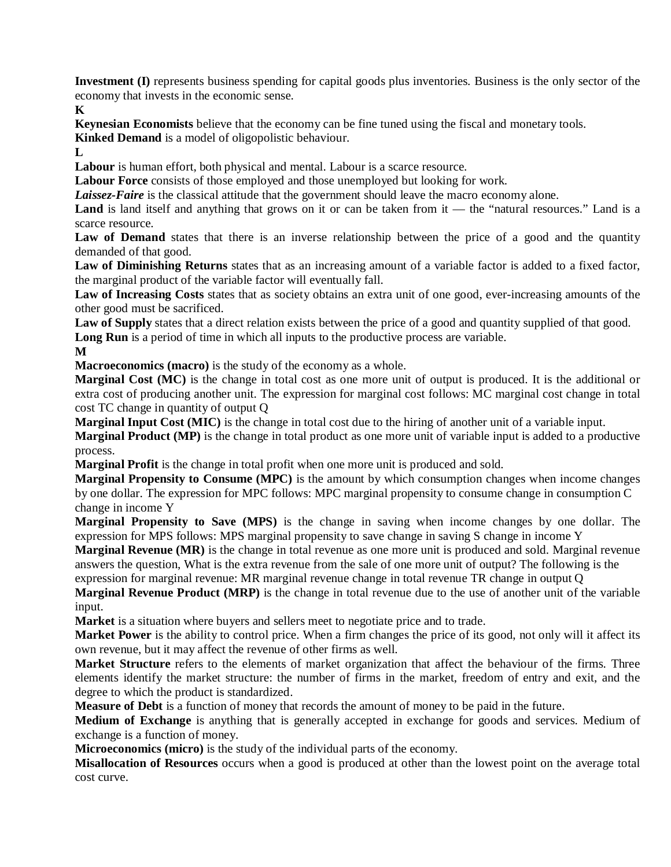**Investment (I)** represents business spending for capital goods plus inventories. Business is the only sector of the economy that invests in the economic sense.

**K**

**Keynesian Economists** believe that the economy can be fine tuned using the fiscal and monetary tools.

**Kinked Demand** is a model of oligopolistic behaviour.

**L**

**Labour** is human effort, both physical and mental. Labour is a scarce resource.

**Labour Force** consists of those employed and those unemployed but looking for work.

*Laissez-Faire* is the classical attitude that the government should leave the macro economy alone.

Land is land itself and anything that grows on it or can be taken from it — the "natural resources." Land is a scarce resource.

Law of Demand states that there is an inverse relationship between the price of a good and the quantity demanded of that good.

**Law of Diminishing Returns** states that as an increasing amount of a variable factor is added to a fixed factor, the marginal product of the variable factor will eventually fall.

**Law of Increasing Costs** states that as society obtains an extra unit of one good, ever-increasing amounts of the other good must be sacrificed.

Law of Supply states that a direct relation exists between the price of a good and quantity supplied of that good.

Long Run is a period of time in which all inputs to the productive process are variable.

**M**

**Macroeconomics (macro)** is the study of the economy as a whole.

**Marginal Cost (MC)** is the change in total cost as one more unit of output is produced. It is the additional or extra cost of producing another unit. The expression for marginal cost follows: MC marginal cost change in total cost TC change in quantity of output Q

**Marginal Input Cost (MIC)** is the change in total cost due to the hiring of another unit of a variable input.

**Marginal Product (MP)** is the change in total product as one more unit of variable input is added to a productive process.

**Marginal Profit** is the change in total profit when one more unit is produced and sold.

**Marginal Propensity to Consume (MPC)** is the amount by which consumption changes when income changes by one dollar. The expression for MPC follows: MPC marginal propensity to consume change in consumption C change in income Y

**Marginal Propensity to Save (MPS)** is the change in saving when income changes by one dollar. The expression for MPS follows: MPS marginal propensity to save change in saving S change in income Y

**Marginal Revenue (MR)** is the change in total revenue as one more unit is produced and sold. Marginal revenue answers the question, What is the extra revenue from the sale of one more unit of output? The following is the expression for marginal revenue: MR marginal revenue change in total revenue TR change in output Q

**Marginal Revenue Product (MRP)** is the change in total revenue due to the use of another unit of the variable input.

**Market** is a situation where buyers and sellers meet to negotiate price and to trade.

**Market Power** is the ability to control price. When a firm changes the price of its good, not only will it affect its own revenue, but it may affect the revenue of other firms as well.

**Market Structure** refers to the elements of market organization that affect the behaviour of the firms. Three elements identify the market structure: the number of firms in the market, freedom of entry and exit, and the degree to which the product is standardized.

**Measure of Debt** is a function of money that records the amount of money to be paid in the future.

**Medium of Exchange** is anything that is generally accepted in exchange for goods and services. Medium of exchange is a function of money.

**Microeconomics (micro)** is the study of the individual parts of the economy.

**Misallocation of Resources** occurs when a good is produced at other than the lowest point on the average total cost curve.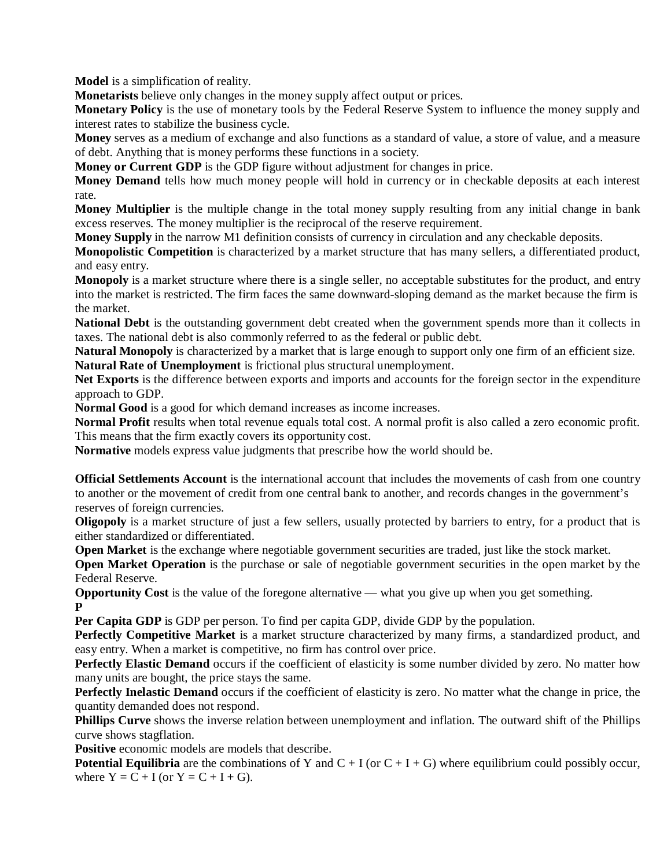**Model** is a simplification of reality.

**Monetarists** believe only changes in the money supply affect output or prices.

**Monetary Policy** is the use of monetary tools by the Federal Reserve System to influence the money supply and interest rates to stabilize the business cycle.

**Money** serves as a medium of exchange and also functions as a standard of value, a store of value, and a measure of debt. Anything that is money performs these functions in a society.

**Money or Current GDP** is the GDP figure without adjustment for changes in price.

**Money Demand** tells how much money people will hold in currency or in checkable deposits at each interest rate.

**Money Multiplier** is the multiple change in the total money supply resulting from any initial change in bank excess reserves. The money multiplier is the reciprocal of the reserve requirement.

**Money Supply** in the narrow M1 definition consists of currency in circulation and any checkable deposits.

**Monopolistic Competition** is characterized by a market structure that has many sellers, a differentiated product, and easy entry.

**Monopoly** is a market structure where there is a single seller, no acceptable substitutes for the product, and entry into the market is restricted. The firm faces the same downward-sloping demand as the market because the firm is the market.

**National Debt** is the outstanding government debt created when the government spends more than it collects in taxes. The national debt is also commonly referred to as the federal or public debt.

**Natural Monopoly** is characterized by a market that is large enough to support only one firm of an efficient size. **Natural Rate of Unemployment** is frictional plus structural unemployment.

**Net Exports** is the difference between exports and imports and accounts for the foreign sector in the expenditure approach to GDP.

**Normal Good** is a good for which demand increases as income increases.

**Normal Profit** results when total revenue equals total cost. A normal profit is also called a zero economic profit. This means that the firm exactly covers its opportunity cost.

**Normative** models express value judgments that prescribe how the world should be.

**Official Settlements Account** is the international account that includes the movements of cash from one country to another or the movement of credit from one central bank to another, and records changes in the government's reserves of foreign currencies.

**Oligopoly** is a market structure of just a few sellers, usually protected by barriers to entry, for a product that is either standardized or differentiated.

**Open Market** is the exchange where negotiable government securities are traded, just like the stock market.

**Open Market Operation** is the purchase or sale of negotiable government securities in the open market by the Federal Reserve.

**Opportunity Cost** is the value of the foregone alternative — what you give up when you get something. **P**

**Per Capita GDP** is GDP per person. To find per capita GDP, divide GDP by the population.

**Perfectly Competitive Market** is a market structure characterized by many firms, a standardized product, and easy entry. When a market is competitive, no firm has control over price.

**Perfectly Elastic Demand** occurs if the coefficient of elasticity is some number divided by zero. No matter how many units are bought, the price stays the same.

**Perfectly Inelastic Demand** occurs if the coefficient of elasticity is zero. No matter what the change in price, the quantity demanded does not respond.

**Phillips Curve** shows the inverse relation between unemployment and inflation. The outward shift of the Phillips curve shows stagflation.

**Positive** economic models are models that describe.

**Potential Equilibria** are the combinations of Y and  $C + I$  (or  $C + I + G$ ) where equilibrium could possibly occur, where  $Y = C + I$  (or  $Y = C + I + G$ ).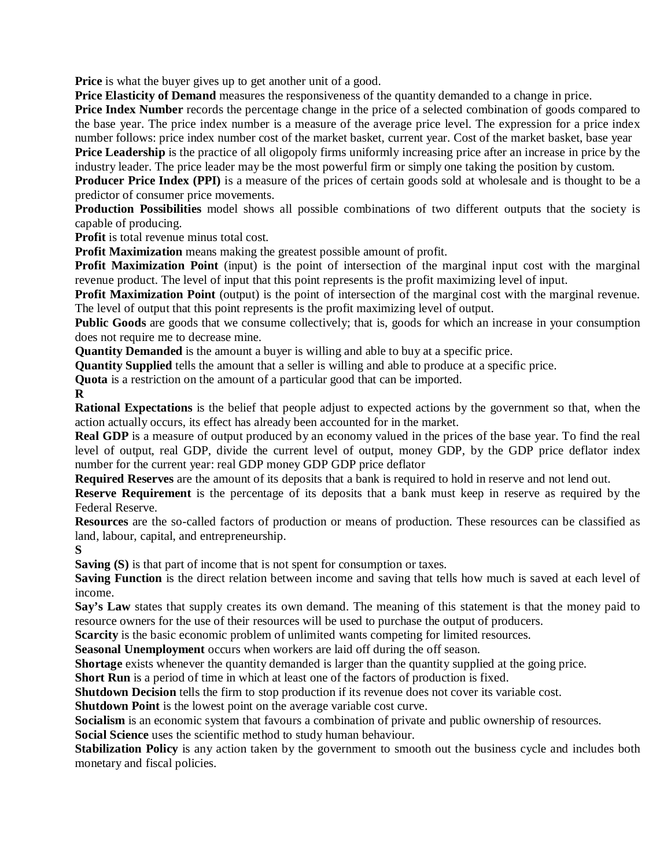**Price** is what the buyer gives up to get another unit of a good.

**Price Elasticity of Demand** measures the responsiveness of the quantity demanded to a change in price.

**Price Index Number** records the percentage change in the price of a selected combination of goods compared to the base year. The price index number is a measure of the average price level. The expression for a price index number follows: price index number cost of the market basket, current year. Cost of the market basket, base year

**Price Leadership** is the practice of all oligopoly firms uniformly increasing price after an increase in price by the industry leader. The price leader may be the most powerful firm or simply one taking the position by custom.

**Producer Price Index (PPI)** is a measure of the prices of certain goods sold at wholesale and is thought to be a predictor of consumer price movements.

**Production Possibilities** model shows all possible combinations of two different outputs that the society is capable of producing.

**Profit** is total revenue minus total cost.

**Profit Maximization** means making the greatest possible amount of profit.

**Profit Maximization Point** (input) is the point of intersection of the marginal input cost with the marginal revenue product. The level of input that this point represents is the profit maximizing level of input.

**Profit Maximization Point** (output) is the point of intersection of the marginal cost with the marginal revenue. The level of output that this point represents is the profit maximizing level of output.

**Public Goods** are goods that we consume collectively; that is, goods for which an increase in your consumption does not require me to decrease mine.

**Quantity Demanded** is the amount a buyer is willing and able to buy at a specific price.

**Quantity Supplied** tells the amount that a seller is willing and able to produce at a specific price.

**Quota** is a restriction on the amount of a particular good that can be imported.

**R**

**Rational Expectations** is the belief that people adjust to expected actions by the government so that, when the action actually occurs, its effect has already been accounted for in the market.

**Real GDP** is a measure of output produced by an economy valued in the prices of the base year. To find the real level of output, real GDP, divide the current level of output, money GDP, by the GDP price deflator index number for the current year: real GDP money GDP GDP price deflator

**Required Reserves** are the amount of its deposits that a bank is required to hold in reserve and not lend out.

**Reserve Requirement** is the percentage of its deposits that a bank must keep in reserve as required by the Federal Reserve.

**Resources** are the so-called factors of production or means of production. These resources can be classified as land, labour, capital, and entrepreneurship.

**S**

**Saving (S)** is that part of income that is not spent for consumption or taxes.

**Saving Function** is the direct relation between income and saving that tells how much is saved at each level of income.

**Say's Law** states that supply creates its own demand. The meaning of this statement is that the money paid to resource owners for the use of their resources will be used to purchase the output of producers.

**Scarcity** is the basic economic problem of unlimited wants competing for limited resources.

**Seasonal Unemployment** occurs when workers are laid off during the off season.

**Shortage** exists whenever the quantity demanded is larger than the quantity supplied at the going price.

**Short Run** is a period of time in which at least one of the factors of production is fixed.

**Shutdown Decision** tells the firm to stop production if its revenue does not cover its variable cost.

**Shutdown Point** is the lowest point on the average variable cost curve.

**Socialism** is an economic system that favours a combination of private and public ownership of resources.

**Social Science** uses the scientific method to study human behaviour.

**Stabilization Policy** is any action taken by the government to smooth out the business cycle and includes both monetary and fiscal policies.